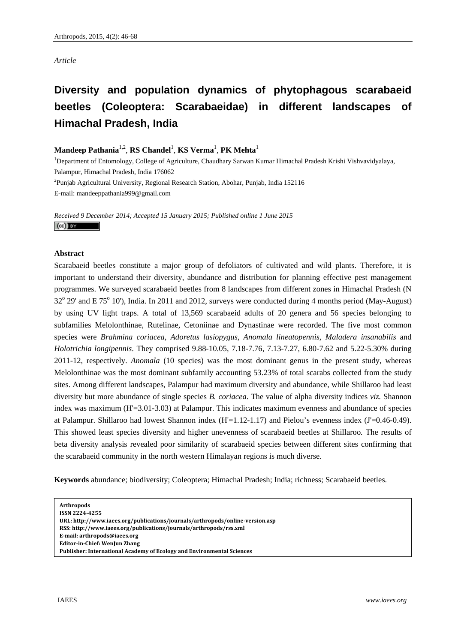# *Article*

# **Diversity and population dynamics of phytophagous scarabaeid beetles (Coleoptera: Scarabaeidae) in different landscapes of Himachal Pradesh, India**

# $\mathbf{M}$ andeep Pathania<sup>1,2</sup>, RS Chandel<sup>1</sup>, KS Verma<sup>1</sup>, PK Mehta<sup>1</sup>

<sup>1</sup>Department of Entomology, College of Agriculture, Chaudhary Sarwan Kumar Himachal Pradesh Krishi Vishvavidyalaya, Palampur, Himachal Pradesh, India 176062

<sup>2</sup>Punjab Agricultural University, Regional Research Station, Abohar, Punjab, India 152116 E-mail: mandeeppathania999@gmail.com

*Received 9 December 2014; Accepted 15 January 2015; Published online 1 June 2015*   $(cc)$  by

# **Abstract**

Scarabaeid beetles constitute a major group of defoliators of cultivated and wild plants. Therefore, it is important to understand their diversity, abundance and distribution for planning effective pest management programmes. We surveyed scarabaeid beetles from 8 landscapes from different zones in Himachal Pradesh (N 32<sup>o</sup> 29' and E 75<sup>o</sup> 10'), India. In 2011 and 2012, surveys were conducted during 4 months period (May-August) by using UV light traps. A total of 13,569 scarabaeid adults of 20 genera and 56 species belonging to subfamilies Melolonthinae, Rutelinae, Cetoniinae and Dynastinae were recorded. The five most common species were *Brahmina coriacea*, *Adoretus lasiopygus*, *Anomala lineatopennis, Maladera insanabilis* and *Holotrichia longipennis*. They comprised 9.88-10.05, 7.18-7.76, 7.13-7.27, 6.80-7.62 and 5.22-5.30% during 2011-12, respectively. *Anomala* (10 species) was the most dominant genus in the present study, whereas Melolonthinae was the most dominant subfamily accounting 53.23% of total scarabs collected from the study sites. Among different landscapes, Palampur had maximum diversity and abundance, while Shillaroo had least diversity but more abundance of single species *B. coriacea*. The value of alpha diversity indices *viz.* Shannon index was maximum (H'=3.01-3.03) at Palampur. This indicates maximum evenness and abundance of species at Palampur. Shillaroo had lowest Shannon index  $(H'=1.12-1.17)$  and Pielou's evenness index  $(J'=0.46-0.49)$ . This showed least species diversity and higher unevenness of scarabaeid beetles at Shillaroo*.* The results of beta diversity analysis revealed poor similarity of scarabaeid species between different sites confirming that the scarabaeid community in the north western Himalayan regions is much diverse.

**Keywords** abundance; biodiversity; Coleoptera; Himachal Pradesh; India; richness; Scarabaeid beetles.

**RSS: http://www.iaees.org/publications/journals/arthropods/rss.xml**

**Email: arthropods@iaees.org**

**EditorinChief: WenJun Zhang**

**Arthropods** 

**ISSN 22244255** 

**URL: http://www.iaees.org/publications/journals/arthropods/onlineversion.asp**

**Publisher: International Academy of Ecology and Environmental Sciences**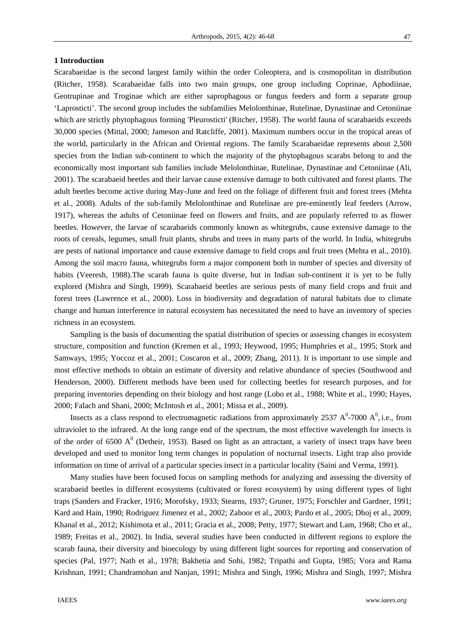# **1 Introduction**

Scarabaeidae is the second largest family within the order Coleoptera, and is cosmopolitan in distribution (Ritcher, 1958). Scarabaeidae falls into two main groups, one group including Coprinae, Aphodiinae, Geotrupinae and Troginae which are either saprophagous or fungus feeders and form a separate group 'Laprosticti'. The second group includes the subfamilies Melolonthinae, Rutelinae, Dynastinae and Cetoniinae which are strictly phytophagous forming 'Pleurosticti' (Ritcher, 1958). The world fauna of scarabaeids exceeds 30,000 species (Mittal, 2000; Jameson and Ratcliffe, 2001). Maximum numbers occur in the tropical areas of the world, particularly in the African and Oriental regions. The family Scarabaeidae represents about 2,500 species from the Indian sub-continent to which the majority of the phytophagous scarabs belong to and the economically most important sub families include Melolonthinae, Rutelinae, Dynastinae and Cetoniinae (Ali, 2001). The scarabaeid beetles and their larvae cause extensive damage to both cultivated and forest plants. The adult beetles become active during May-June and feed on the foliage of different fruit and forest trees (Mehta et al., 2008). Adults of the sub-family Melolonthinae and Rutelinae are pre-eminently leaf feeders (Arrow, 1917), whereas the adults of Cetoniinae feed on flowers and fruits, and are popularly referred to as flower beetles. However, the larvae of scarabaeids commonly known as whitegrubs, cause extensive damage to the roots of cereals, legumes, small fruit plants, shrubs and trees in many parts of the world. In India, whitegrubs are pests of national importance and cause extensive damage to field crops and fruit trees (Mehta et al., 2010). Among the soil macro fauna, whitegrubs form a major component both in number of species and diversity of habits (Veeresh, 1988).The scarab fauna is quite diverse, but in Indian sub-continent it is yet to be fully explored (Mishra and Singh, 1999). Scarabaeid beetles are serious pests of many field crops and fruit and forest trees (Lawrence et al., 2000). Loss in biodiversity and degradation of natural habitats due to climate change and human interference in natural ecosystem has necessitated the need to have an inventory of species richness in an ecosystem.

Sampling is the basis of documenting the spatial distribution of species or assessing changes in ecosystem structure, composition and function (Kremen et al., 1993; Heywood, 1995; Humphries et al., 1995; Stork and Samways, 1995; Yoccoz et al., 2001; Coscaron et al., 2009; Zhang, 2011). It is important to use simple and most effective methods to obtain an estimate of diversity and relative abundance of species (Southwood and Henderson, 2000). Different methods have been used for collecting beetles for research purposes, and for preparing inventories depending on their biology and host range (Lobo et al., 1988; White et al., 1990; Hayes, 2000; Falach and Shani, 2000; McIntosh et al., 2001; Missa et al., 2009).

Insects as a class respond to electromagnetic radiations from approximately 2537  $A^0$ -7000  $A^0$ , i.e., from ultraviolet to the infrared. At the long range end of the spectrum, the most effective wavelength for insects is of the order of 6500  $A^0$  (Detheir, 1953). Based on light as an attractant, a variety of insect traps have been developed and used to monitor long term changes in population of nocturnal insects. Light trap also provide information on time of arrival of a particular species insect in a particular locality (Saini and Verma, 1991).

Many studies have been focused focus on sampling methods for analyzing and assessing the diversity of scarabaeid beetles in different ecosystems (cultivated or forest ecosystem) by using different types of light traps (Sanders and Fracker, 1916; Morofsky, 1933; Stearns, 1937; Gruner, 1975; Forschler and Gardner, 1991; Kard and Hain, 1990; Rodriguez Jimenez et al., 2002; Zahoor et al., 2003; Pardo et al., 2005; Dhoj et al., 2009; Khanal et al., 2012; Kishimota et al., 2011; Gracia et al., 2008; Petty, 1977; Stewart and Lam, 1968; Cho et al., 1989; Freitas et al., 2002). In India, several studies have been conducted in different regions to explore the scarab fauna, their diversity and bioecology by using different light sources for reporting and conservation of species (Pal, 1977; Nath et al., 1978; Bakhetia and Sohi, 1982; Tripathi and Gupta, 1985; Vora and Rama Krishnan, 1991; Chandramohan and Nanjan, 1991; Mishra and Singh, 1996; Mishra and Singh, 1997; Mishra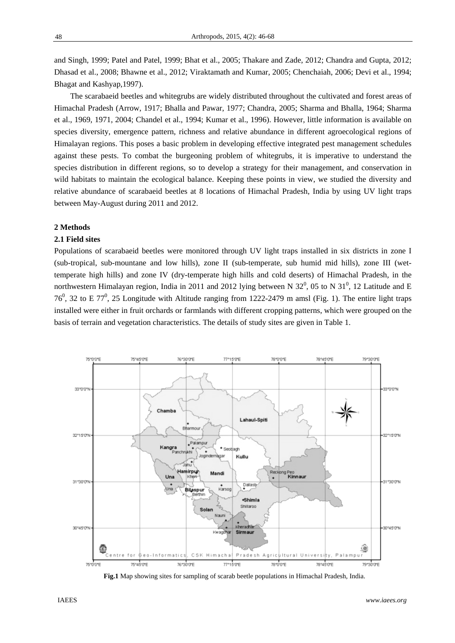and Singh, 1999; Patel and Patel, 1999; Bhat et al., 2005; Thakare and Zade, 2012; Chandra and Gupta, 2012; Dhasad et al., 2008; Bhawne et al., 2012; Viraktamath and Kumar, 2005; Chenchaiah, 2006; Devi et al., 1994; Bhagat and Kashyap,1997).

The scarabaeid beetles and whitegrubs are widely distributed throughout the cultivated and forest areas of Himachal Pradesh (Arrow, 1917; Bhalla and Pawar, 1977; Chandra, 2005; Sharma and Bhalla, 1964; Sharma et al., 1969, 1971, 2004; Chandel et al., 1994; Kumar et al., 1996). However, little information is available on species diversity, emergence pattern, richness and relative abundance in different agroecological regions of Himalayan regions. This poses a basic problem in developing effective integrated pest management schedules against these pests. To combat the burgeoning problem of whitegrubs, it is imperative to understand the species distribution in different regions, so to develop a strategy for their management, and conservation in wild habitats to maintain the ecological balance. Keeping these points in view, we studied the diversity and relative abundance of scarabaeid beetles at 8 locations of Himachal Pradesh, India by using UV light traps between May-August during 2011 and 2012.

#### **2 Methods**

# **2.1 Field sites**

Populations of scarabaeid beetles were monitored through UV light traps installed in six districts in zone I (sub-tropical, sub-mountane and low hills), zone II (sub-temperate, sub humid mid hills), zone III (wettemperate high hills) and zone IV (dry-temperate high hills and cold deserts) of Himachal Pradesh, in the northwestern Himalayan region, India in 2011 and 2012 lying between N 32<sup>0</sup>, 05 to N 31<sup>0</sup>, 12 Latitude and E 76<sup>0</sup>, 32 to E 77<sup>0</sup>, 25 Longitude with Altitude ranging from 1222-2479 m amsl (Fig. 1). The entire light traps installed were either in fruit orchards or farmlands with different cropping patterns, which were grouped on the basis of terrain and vegetation characteristics. The details of study sites are given in Table 1.



 **Fig.1** Map showing sites for sampling of scarab beetle populations in Himachal Pradesh, India.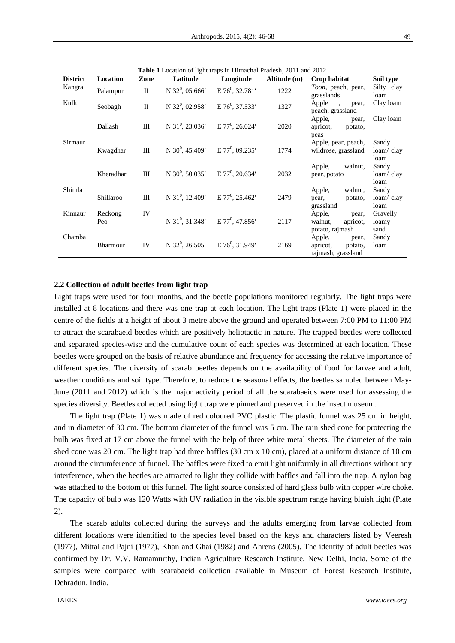| <b>District</b> | Location       | Zone         | Latitude                                                | $\sigma$ is the trup in Thing that I run<br>Longitude | Altitude (m) | Crop habitat                                                 | Soil type                  |
|-----------------|----------------|--------------|---------------------------------------------------------|-------------------------------------------------------|--------------|--------------------------------------------------------------|----------------------------|
| Kangra          | Palampur       | $\rm II$     | N $32^0$ , 05.666'                                      | $E$ 76 <sup>0</sup> , 32.781'                         | 1222         | Toon, peach, pear,<br>grasslands                             | Silty clay<br>loam         |
| Kullu           | Seobagh        | $\mathbf{I}$ | $N$ 32 <sup>0</sup> , 02.958'                           | $E$ 76 <sup>0</sup> , 37.533'                         | 1327         | Apple,<br>pear,<br>peach, grassland                          | Clay loam                  |
|                 | Dallash        | III          | $N$ 31 <sup>0</sup> , 23.036'                           | $E 77^0$ , 26.024'                                    | 2020         | Apple,<br>pear,<br>apricot, potato,<br>peas                  | Clay loam                  |
| Sirmaur         | Kwagdhar       | Ш            | N 30 <sup>0</sup> , 45.409' E 77 <sup>0</sup> , 09.235' |                                                       | 1774         | Apple, pear, peach,<br>wildrose, grassland                   | Sandy<br>loam/clay<br>loam |
|                 | Kheradhar      | III          | N 30 <sup>0</sup> , 50.035' E 77 <sup>0</sup> , 20.634' |                                                       | 2032         | walnut.<br>Apple,<br>pear, potato                            | Sandy<br>loam/clay<br>loam |
| Shimla          | Shillaroo      | III          | N $31^0$ , 12.409' E $77^0$ , 25.462'                   |                                                       | 2479         | Apple, walnut,<br>pear,<br>potato,<br>grassland              | Sandy<br>loam/clay<br>loam |
| Kinnaur         | Reckong<br>Peo | IV           | N 31 <sup>0</sup> , 31.348' E 77 <sup>0</sup> , 47.856' |                                                       | 2117         | Apple,<br>pear,<br>walnut,<br>apricot.<br>potato, rajmash    | Gravelly<br>loamy<br>sand  |
| Chamba          | Bharmour       | IV           | $N$ 32 <sup>0</sup> , 26.505'                           | $E$ 76 <sup>0</sup> , 31.949'                         | 2169         | Apple,<br>pear,<br>apricot,<br>potato,<br>rajmash, grassland | Sandy<br>loam              |

**Table 1** Location of light traps in Himachal Pradesh, 2011 and 2012.

#### **2.2 Collection of adult beetles from light trap**

Light traps were used for four months, and the beetle populations monitored regularly. The light traps were installed at 8 locations and there was one trap at each location. The light traps (Plate 1) were placed in the centre of the fields at a height of about 3 metre above the ground and operated between 7:00 PM to 11:00 PM to attract the scarabaeid beetles which are positively heliotactic in nature. The trapped beetles were collected and separated species-wise and the cumulative count of each species was determined at each location. These beetles were grouped on the basis of relative abundance and frequency for accessing the relative importance of different species. The diversity of scarab beetles depends on the availability of food for larvae and adult, weather conditions and soil type. Therefore, to reduce the seasonal effects, the beetles sampled between May-June (2011 and 2012) which is the major activity period of all the scarabaeids were used for assessing the species diversity. Beetles collected using light trap were pinned and preserved in the insect museum.

The light trap (Plate 1) was made of red coloured PVC plastic. The plastic funnel was 25 cm in height, and in diameter of 30 cm. The bottom diameter of the funnel was 5 cm. The rain shed cone for protecting the bulb was fixed at 17 cm above the funnel with the help of three white metal sheets. The diameter of the rain shed cone was 20 cm. The light trap had three baffles (30 cm x 10 cm), placed at a uniform distance of 10 cm around the circumference of funnel. The baffles were fixed to emit light uniformly in all directions without any interference, when the beetles are attracted to light they collide with baffles and fall into the trap. A nylon bag was attached to the bottom of this funnel. The light source consisted of hard glass bulb with copper wire choke. The capacity of bulb was 120 Watts with UV radiation in the visible spectrum range having bluish light (Plate 2).

The scarab adults collected during the surveys and the adults emerging from larvae collected from different locations were identified to the species level based on the keys and characters listed by Veeresh (1977), Mittal and Pajni (1977), Khan and Ghai (1982) and Ahrens (2005). The identity of adult beetles was confirmed by Dr. V.V. Ramamurthy, Indian Agriculture Research Institute, New Delhi, India. Some of the samples were compared with scarabaeid collection available in Museum of Forest Research Institute, Dehradun, India.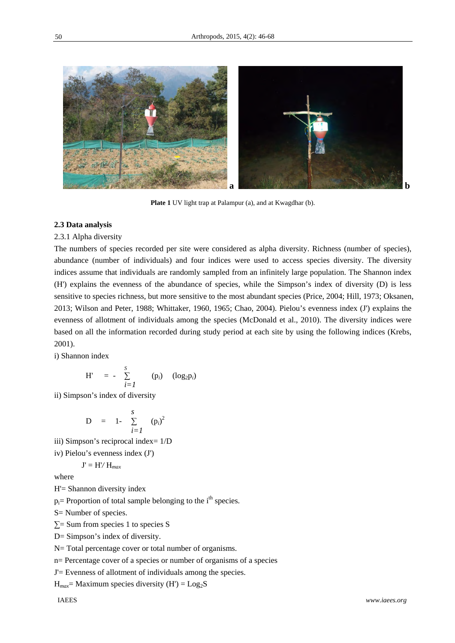

**Plate 1** UV light trap at Palampur (a), and at Kwagdhar (b).

#### **2.3 Data analysis**

#### 2.3.1 Alpha diversity

The numbers of species recorded per site were considered as alpha diversity. Richness (number of species), abundance (number of individuals) and four indices were used to access species diversity. The diversity indices assume that individuals are randomly sampled from an infinitely large population. The Shannon index (H') explains the evenness of the abundance of species, while the Simpson's index of diversity (D) is less sensitive to species richness, but more sensitive to the most abundant species (Price, 2004; Hill, 1973; Oksanen, 2013; Wilson and Peter, 1988; Whittaker, 1960, 1965; Chao, 2004). Pielou's evenness index (J') explains the evenness of allotment of individuals among the species (McDonald et al., 2010). The diversity indices were based on all the information recorded during study period at each site by using the following indices (Krebs, 2001).

i) Shannon index

$$
H' = - \sum_{i=1}^{S} (p_i) (log_2 p_i)
$$

ii) Simpson's index of diversity

D = 1- 
$$
\sum_{i=1}^{S}
$$
 (p<sub>i</sub>)<sup>2</sup>

iii) Simpson's reciprocal index= 1/D

iv) Pielou's evenness index (J')

 $J' = H'/H_{max}$ 

where

H'= Shannon diversity index

 $p_i$ = Proportion of total sample belonging to the i<sup>th</sup> species.

S= Number of species.

 $\Sigma$ = Sum from species 1 to species S

D= Simpson's index of diversity.

N= Total percentage cover or total number of organisms.

n= Percentage cover of a species or number of organisms of a species

J'= Evenness of allotment of individuals among the species.

 $H_{max}$ = Maximum species diversity (H') =  $Log<sub>2</sub>S$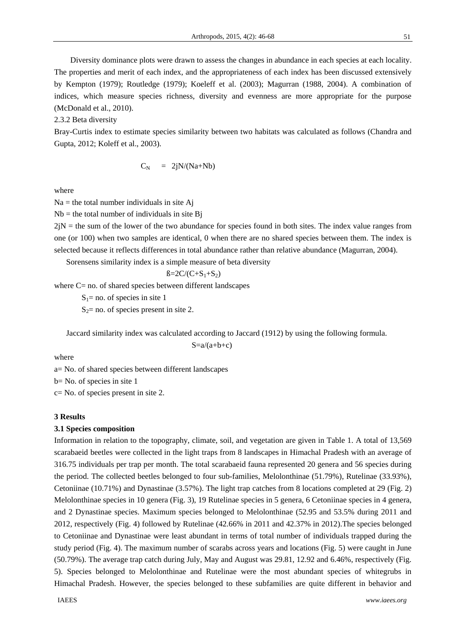Diversity dominance plots were drawn to assess the changes in abundance in each species at each locality. The properties and merit of each index, and the appropriateness of each index has been discussed extensively by Kempton (1979); Routledge (1979); Koeleff et al. (2003); Magurran (1988, 2004). A combination of indices, which measure species richness, diversity and evenness are more appropriate for the purpose (McDonald et al., 2010).

2.3.2 Beta diversity

Bray-Curtis index to estimate species similarity between two habitats was calculated as follows (Chandra and Gupta, 2012; Koleff et al., 2003).

$$
C_N = 2jN/(Na+Nb)
$$

where

 $Na =$  the total number individuals in site Aj

 $Nb =$  the total number of individuals in site Bj

 $2jN =$  the sum of the lower of the two abundance for species found in both sites. The index value ranges from one (or 100) when two samples are identical, 0 when there are no shared species between them. The index is selected because it reflects differences in total abundance rather than relative abundance (Magurran, 2004).

Sorensens similarity index is a simple measure of beta diversity

$$
B=2C/(C+S_1+S_2)
$$

where C= no. of shared species between different landscapes

 $S_1$ = no. of species in site 1

 $S_2$ = no. of species present in site 2.

Jaccard similarity index was calculated according to Jaccard (1912) by using the following formula.

$$
S = a/(a+b+c)
$$

where

a= No. of shared species between different landscapes b= No. of species in site 1 c= No. of species present in site 2.

#### **3 Results**

#### **3.1 Species composition**

Information in relation to the topography, climate, soil, and vegetation are given in Table 1. A total of 13,569 scarabaeid beetles were collected in the light traps from 8 landscapes in Himachal Pradesh with an average of 316.75 individuals per trap per month. The total scarabaeid fauna represented 20 genera and 56 species during the period. The collected beetles belonged to four sub-families, Melolonthinae (51.79%), Rutelinae (33.93%), Cetoniinae (10.71%) and Dynastinae (3.57%). The light trap catches from 8 locations completed at 29 (Fig. 2) Melolonthinae species in 10 genera (Fig. 3), 19 Rutelinae species in 5 genera, 6 Cetoniinae species in 4 genera, and 2 Dynastinae species. Maximum species belonged to Melolonthinae (52.95 and 53.5% during 2011 and 2012, respectively (Fig. 4) followed by Rutelinae (42.66% in 2011 and 42.37% in 2012).The species belonged to Cetoniinae and Dynastinae were least abundant in terms of total number of individuals trapped during the study period (Fig. 4). The maximum number of scarabs across years and locations (Fig. 5) were caught in June (50.79%). The average trap catch during July, May and August was 29.81, 12.92 and 6.46%, respectively (Fig. 5). Species belonged to Melolonthinae and Rutelinae were the most abundant species of whitegrubs in Himachal Pradesh. However, the species belonged to these subfamilies are quite different in behavior and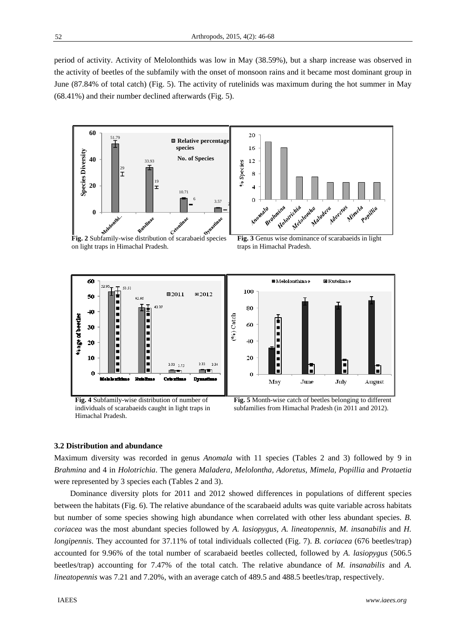period of activity. Activity of Melolonthids was low in May (38.59%), but a sharp increase was observed in the activity of beetles of the subfamily with the onset of monsoon rains and it became most dominant group in June (87.84% of total catch) (Fig. 5). The activity of rutelinids was maximum during the hot summer in May (68.41%) and their number declined afterwards (Fig. 5).

![](_page_6_Figure_2.jpeg)

individuals of scarabaeids caught in light traps in Himachal Pradesh.

![](_page_6_Figure_4.jpeg)

# **3.2 Distribution and abundance**

Maximum diversity was recorded in genus *Anomala* with 11 species (Tables 2 and 3) followed by 9 in *Brahmina* and 4 in *Holotrichia*. The genera *Maladera, Melolontha, Adoretus, Mimela, Popillia* and *Protaetia*  were represented by 3 species each (Tables 2 and 3).

Dominance diversity plots for 2011 and 2012 showed differences in populations of different species between the habitats (Fig. 6). The relative abundance of the scarabaeid adults was quite variable across habitats but number of some species showing high abundance when correlated with other less abundant species. *B. coriacea* was the most abundant species followed by *A. lasiopygus, A. lineatopennis, M. insanabilis* and *H. longipennis*. They accounted for 37.11% of total individuals collected (Fig. 7). *B. coriacea* (676 beetles/trap) accounted for 9.96% of the total number of scarabaeid beetles collected, followed by *A. lasiopygus* (506.5 beetles/trap) accounting for 7.47% of the total catch. The relative abundance of *M. insanabilis* and *A. lineatopennis* was 7.21 and 7.20%, with an average catch of 489.5 and 488.5 beetles/trap, respectively.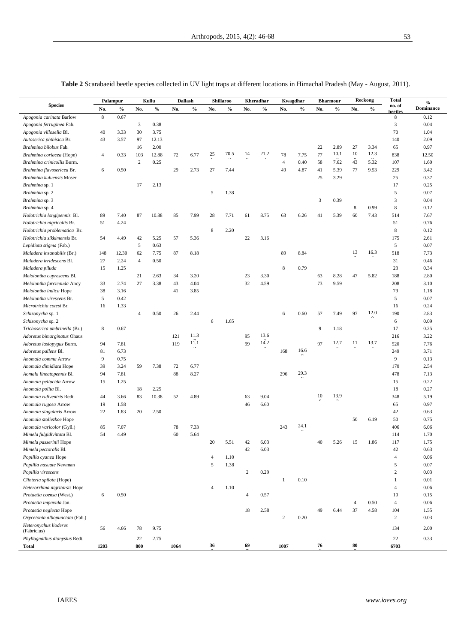| ۰<br>e e s | I      |
|------------|--------|
| ۰,         | I      |
| $\sim$     | $\sim$ |
|            |        |

|                                      | Palampur       |       | Kullu          |       | Dallash |      | Shillaroo |      | Kheradhar        |              | Kwagdhar         |               | <b>Bharmour</b> |      | <b>Reckong</b> |      | <b>Total</b>      | $\%$             |
|--------------------------------------|----------------|-------|----------------|-------|---------|------|-----------|------|------------------|--------------|------------------|---------------|-----------------|------|----------------|------|-------------------|------------------|
| <b>Species</b>                       | No.            | $\%$  | No.            | $\%$  | No.     | $\%$ | No.       | $\%$ | No.              | $\%$         | No.              | $\frac{0}{0}$ | No.             | $\%$ | No.            | $\%$ | no. of<br>beetles | <b>Dominance</b> |
| Apogonia carinata Barlow             | 8              | 0.67  |                |       |         |      |           |      |                  |              |                  |               |                 |      |                |      | 8                 | 0.12             |
| Apogonia ferruginea Fab.             |                |       | 3              | 0.38  |         |      |           |      |                  |              |                  |               |                 |      |                |      | 3                 | 0.04             |
| Apogonia villosella Bl.              | 40             | 3.33  | 30             | 3.75  |         |      |           |      |                  |              |                  |               |                 |      |                |      | 70                | 1.04             |
| Autoserica phthisica Br.             | 43             | 3.57  | 97             | 12.13 |         |      |           |      |                  |              |                  |               |                 |      |                |      | 140               | 2.09             |
| Brahmina bilobus Fab.                |                |       | 16             | 2.00  |         |      |           |      |                  |              |                  |               | 22              | 2.89 | 27             | 3.34 | 65                | 0.97             |
| Brahmina coriacea (Hope)             | $\overline{4}$ | 0.33  | 103            | 12.88 | 72      | 6.77 | 25        | 70.5 | 14               | 21.2         | 78               | 7.75          | 77              | 10.1 | 10             | 12.3 | 838               | 12.50            |
| Brahmina crinicollis Burm.           |                |       | $\sqrt{2}$     | 0.25  |         |      |           |      |                  |              | $\overline{4}$   | 0.40          | 58              | 7.62 | 43             | 5.32 | 107               | 1.60             |
| Brahmina flavosericea Br.            | 6              | 0.50  |                |       | 29      | 2.73 | 27        | 7.44 |                  |              | 49               | 4.87          | 41              | 5.39 | 77             | 9.53 | 229               | 3.42             |
| Brahmina kuluensis Moser             |                |       |                |       |         |      |           |      |                  |              |                  |               | 25              | 3.29 |                |      | 25                | 0.37             |
| Brahmina sp. 1                       |                |       | 17             | 2.13  |         |      |           |      |                  |              |                  |               |                 |      |                |      | 17                | 0.25             |
| Brahmina sp. 2                       |                |       |                |       |         |      | 5         | 1.38 |                  |              |                  |               |                 |      |                |      | 5                 | 0.07             |
| Brahmina sp. 3                       |                |       |                |       |         |      |           |      |                  |              |                  |               | 3               | 0.39 |                |      | 3                 | 0.04             |
| Brahmina sp. 4                       |                |       |                |       |         |      |           |      |                  |              |                  |               |                 |      | 8              | 0.99 | 8                 | 0.12             |
| Holotrichia longipennis Bl.          | 89             | 7.40  | 87             | 10.88 | 85      | 7.99 | 28        | 7.71 | 61               | 8.75         | 63               | 6.26          | 41              | 5.39 | 60             | 7.43 | 514               | 7.67             |
| Holotrichia nigricollis Br.          | 51             | 4.24  |                |       |         |      |           |      |                  |              |                  |               |                 |      |                |      | 51                | 0.76             |
| Holotrichia problematica Br.         |                |       |                |       |         |      | 8         | 2.20 |                  |              |                  |               |                 |      |                |      | 8                 | 0.12             |
| Holotrichia sikkimensis Br.          | 54             | 4.49  | 42             | 5.25  | 57      | 5.36 |           |      | 22               | 3.16         |                  |               |                 |      |                |      | 175               | 2.61             |
| Lepidiota stigma (Fab.)              |                |       | 5              | 0.63  |         |      |           |      |                  |              |                  |               |                 |      | 13             | 16.3 | 5                 | 0.07             |
| Maladera insanabilis (Br.)           | 148            | 12.30 | 62             | 7.75  | 87      | 8.18 |           |      |                  |              | 89               | 8.84          |                 |      |                |      | 518               | 7.73             |
| Maladera irridescens Bl.             | 27             | 2.24  | $\overline{4}$ | 0.50  |         |      |           |      |                  |              |                  |               |                 |      |                |      | 31                | 0.46             |
| Maladera piluda                      | 15             | 1.25  |                |       |         |      |           |      |                  |              | $\,$ 8 $\,$      | 0.79          |                 |      |                |      | 23                | 0.34             |
| Melolontha cuprescens Bl.            |                |       | 21             | 2.63  | 34      | 3.20 |           |      | 23               | 3.30         |                  |               | 63              | 8.28 | 47             | 5.82 | 188               | 2.80             |
| Melolontha furcicauda Ancy           | 33             | 2.74  | 27             | 3.38  | 43      | 4.04 |           |      | 32               | 4.59         |                  |               | 73              | 9.59 |                |      | 208               | 3.10             |
| Melolontha indica Hope               | 38             | 3.16  |                |       | 41      | 3.85 |           |      |                  |              |                  |               |                 |      |                |      | 79                | 1.18             |
| Melolontha virescens Br.             | 5              | 0.42  |                |       |         |      |           |      |                  |              |                  |               |                 |      |                |      | 5                 | 0.07             |
| Microtrichia cotesi Br.              | 16             | 1.33  |                |       |         |      |           |      |                  |              |                  |               |                 |      |                | 12.0 | 16                | 0.24             |
| Schizonycha sp. 1                    |                |       | $\overline{4}$ | 0.50  | 26      | 2.44 |           |      |                  |              | 6                | 0.60          | 57              | 7.49 | 97             |      | 190               | 2.83             |
| Schizonycha sp. 2                    |                |       |                |       |         |      | 6         | 1.65 |                  |              |                  |               |                 |      |                |      | 6                 | 0.09             |
| Trichoserica umbrinella (Br.)        | 8              | 0.67  |                |       |         | 11.3 |           |      |                  |              |                  |               | 9               | 1.18 |                |      | 17                | 0.25             |
| Adoretus bimarginatus Ohaus          |                |       |                |       | 121     | 11.1 |           |      | 95               | 13.6<br>14.2 |                  |               |                 |      |                |      | 216               | 3.22             |
| Adoretus lasiopygus Burm.            | 94             | 7.81  |                |       | 119     |      |           |      | 99               |              |                  |               | 97              | 12.7 | 11             | 13.7 | 520               | 7.76             |
| Adoretus pallens Bl.                 | 81             | 6.73  |                |       |         |      |           |      |                  |              | 168              | 16.6          |                 |      |                |      | 249               | 3.71             |
| Anomala comma Arrow                  | 9              | 0.75  |                |       |         |      |           |      |                  |              |                  |               |                 |      |                |      | 9                 | 0.13             |
| Anomala dimidiata Hope               | 39             | 3.24  | 59             | 7.38  | 72      | 6.77 |           |      |                  |              |                  | 29.3          |                 |      |                |      | 170               | 2.54             |
| Aomala lineatopennis Bl.             | 94             | 7.81  |                |       | 88      | 8.27 |           |      |                  |              | 296              |               |                 |      |                |      | 478               | 7.13             |
| Anomala pellucida Arrow              | 15             | 1.25  |                |       |         |      |           |      |                  |              |                  |               |                 |      |                |      | 15                | 0.22             |
| Anomala polita Bl.                   |                |       | 18             | 2.25  |         |      |           |      |                  |              |                  |               | 10              | 13.9 |                |      | 18                | 0.27             |
| Anomala rufiventris Redt.            | 44             | 3.66  | 83             | 10.38 | 52      | 4.89 |           |      | 63               | 9.04         |                  |               |                 |      |                |      | 348               | 5.19             |
| Anomala rugosa Arrow                 | 19             | 1.58  |                |       |         |      |           |      | 46               | 6.60         |                  |               |                 |      |                |      | 65                | 0.97             |
| Anomala singularis Arrow             | 22             | 1.83  | 20             | 2.50  |         |      |           |      |                  |              |                  |               |                 |      |                |      | 42                | 0.63             |
| Anomala stoliezkoe Hope              |                |       |                |       |         |      |           |      |                  |              |                  | 24.1          |                 |      | 50             | 6.19 | 50                | 0.75             |
| Anomala varicolor (Gyll.)            | 85             | 7.07  |                |       | 78      | 7.33 |           |      |                  |              | 243              |               |                 |      |                |      | 406               | 6.06             |
| Mimela fulgidivittata Bl.            | 54             | 4.49  |                |       | 60      | 5.64 |           |      |                  |              |                  |               |                 |      |                |      | 114               | 1.70             |
| Mimela passerinii Hope               |                |       |                |       |         |      | 20        | 5.51 | 42               | 6.03         |                  |               | 40              | 5.26 | 15             | 1.86 | 117               | 1.75             |
| Mimela pectoralis Bl.                |                |       |                |       |         |      |           |      | 42               | 6.03         |                  |               |                 |      |                |      | 42                | 0.63             |
| Popillia cyanea Hope                 |                |       |                |       |         |      | 4         | 1.10 |                  |              |                  |               |                 |      |                |      | $\overline{4}$    | 0.06             |
| Popillia nasuate Newman              |                |       |                |       |         |      | 5         | 1.38 |                  |              |                  |               |                 |      |                |      | 5                 | 0.07             |
| Popillia virescens                   |                |       |                |       |         |      |           |      | $\boldsymbol{2}$ | 0.29         |                  |               |                 |      |                |      | $\mathbf{2}$      | 0.03             |
| Clinteria spilota (Hope)             |                |       |                |       |         |      |           |      |                  |              | 1                | 0.10          |                 |      |                |      | $\mathbf{1}$      | 0.01             |
| Heterorrhina nigritarsis Hope        |                |       |                |       |         |      | 4         | 1.10 |                  |              |                  |               |                 |      |                |      | $\overline{4}$    | 0.06             |
| Protaetia coensa (West.)             | 6              | 0.50  |                |       |         |      |           |      | $\overline{4}$   | 0.57         |                  |               |                 |      |                |      | 10                | 0.15             |
| Protaetia impavida Jan.              |                |       |                |       |         |      |           |      |                  |              |                  |               |                 |      | $\overline{4}$ | 0.50 | $\overline{4}$    | 0.06             |
| Protaetia neglecta Hope              |                |       |                |       |         |      |           |      | 18               | 2.58         |                  |               | 49              | 6.44 | 37             | 4.58 | 104               | 1.55             |
| Oxycetonia albopunctata (Fab.)       |                |       |                |       |         |      |           |      |                  |              | $\boldsymbol{2}$ | 0.20          |                 |      |                |      | $\mathbf{2}$      | 0.03             |
| Heteronychus lioderes<br>(Fabricius) | 56             | 4.66  | 78             | 9.75  |         |      |           |      |                  |              |                  |               |                 |      |                |      | 134               | 2.00             |
| Phyllognathus dionysius Redt.        |                |       | 22             | 2.75  |         |      |           |      |                  |              |                  |               |                 |      |                |      | 22                | 0.33             |
| Total                                | 1203           |       | 800            |       | 1064    |      | 36        |      | 69               |              | 1007             |               | 76              |      | 80             |      | 6703              |                  |

**Table 2** Scarabaeid beetle species collected in UV light traps at different locations in Himachal Pradesh (May - August, 2011).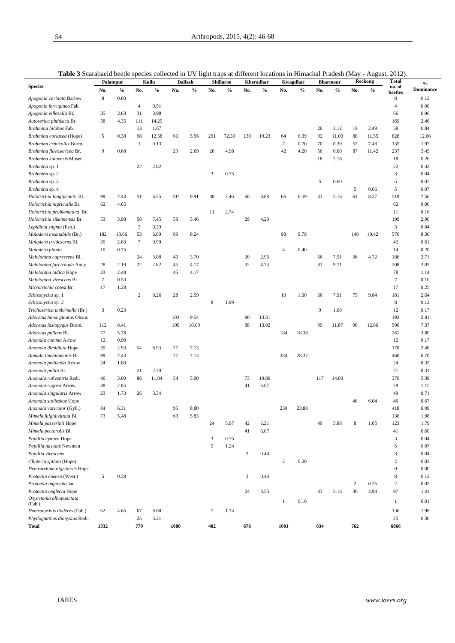|                               | Palampur        |       | Kullu            |       | <b>Tubic</b> o Bearabache because species concerted in $\sigma$ $\epsilon$ right traps at unrerent rocations in rimmerial radicon (mag<br>Dallash |       | <b>Shillaroo</b> |       | Kheradhar |       | Kwagdhar       |       | <b>Bharmour</b> |       | $1.14 \pm 0.01$<br>Reckong |       | $\omega$<br><b>Total</b> |                          |
|-------------------------------|-----------------|-------|------------------|-------|---------------------------------------------------------------------------------------------------------------------------------------------------|-------|------------------|-------|-----------|-------|----------------|-------|-----------------|-------|----------------------------|-------|--------------------------|--------------------------|
| <b>Species</b>                | No.             | $\%$  | No.              | $\%$  | No.                                                                                                                                               | $\%$  | No.              | $\%$  | No.       | $\%$  | No.            | $\%$  | No.             | $\%$  | No.                        | $\%$  | no. of                   | $\%$<br><b>Dominance</b> |
| Apogonia carinata Barlow      | 8               | 0.60  |                  |       |                                                                                                                                                   |       |                  |       |           |       |                |       |                 |       |                            |       | beetles<br>8             | 0.12                     |
| Apogonia ferruginea Fab.      |                 |       | $\overline{4}$   | 0.51  |                                                                                                                                                   |       |                  |       |           |       |                |       |                 |       |                            |       | $\overline{4}$           | 0.06                     |
| Apogonia villosella Bl.       | 35              | 2.63  | 31               | 3.98  |                                                                                                                                                   |       |                  |       |           |       |                |       |                 |       |                            |       | 66                       | 0.96                     |
| Autoserica phthisica Br.      | 58              | 4.35  | 111              | 14.25 |                                                                                                                                                   |       |                  |       |           |       |                |       |                 |       |                            |       | 169                      | 2.46                     |
| Brahmina bilobus Fab.         |                 |       | 13               | 1.67  |                                                                                                                                                   |       |                  |       |           |       |                |       | 26              | 3.12  | 19                         | 2.49  | 58                       | 0.84                     |
|                               | 5               | 0.38  | 98               | 12.58 | 60                                                                                                                                                | 5.56  | 291              | 72.39 | 130       | 19.23 | 64             | 6.39  | 92              | 11.03 | 88                         | 11.55 | 828                      | 12.06                    |
| Brahmina coriacea (Hope)      |                 |       |                  | 0.13  |                                                                                                                                                   |       |                  |       |           |       | $\tau$         | 0.70  | 70              |       | 57                         | 7.48  |                          | 1.97                     |
| Brahmina crinicollis Burm.    |                 |       | $\mathbf{1}$     |       |                                                                                                                                                   |       |                  |       |           |       |                |       |                 | 8.39  |                            |       | 135                      |                          |
| Brahmina flavosericea Br.     | 9               | 0.68  |                  |       | 29                                                                                                                                                | 2.69  | $20\,$           | 4.98  |           |       | 42             | 4.20  | 50              | 6.00  | 87                         | 11.42 | 237                      | 3.45                     |
| Brahmina kuluensis Moser      |                 |       |                  |       |                                                                                                                                                   |       |                  |       |           |       |                |       | 18              | 2.16  |                            |       | 18                       | 0.26                     |
| Brahmina sp. 1                |                 |       | 22               | 2.82  |                                                                                                                                                   |       |                  |       |           |       |                |       |                 |       |                            |       | 22                       | 0.32                     |
| Brahmina sp. 2                |                 |       |                  |       |                                                                                                                                                   |       | 3                | 0.75  |           |       |                |       |                 |       |                            |       | 3                        | 0.04                     |
| Brahmina sp. 3                |                 |       |                  |       |                                                                                                                                                   |       |                  |       |           |       |                |       | 5               | 0.60  |                            |       | 5                        | 0.07                     |
| Brahmina sp. 4                |                 |       |                  |       |                                                                                                                                                   |       |                  |       |           |       |                |       |                 |       | 5                          | 0.66  | 5                        | 0.07                     |
| Holotrichia longipennis Bl.   | 99              | 7.43  | 51               | 6.55  | 107                                                                                                                                               | 9.91  | 30               | 7.46  | 60        | 8.88  | 66             | 6.59  | 43              | 5.16  | 63                         | 8.27  | 519                      | 7.56                     |
| Holotrichia nigricollis Br.   | 62              | 4.65  |                  |       |                                                                                                                                                   |       |                  |       |           |       |                |       |                 |       |                            |       | 62                       | 0.90                     |
| Holotrichia problematica Br.  |                 |       |                  |       |                                                                                                                                                   |       | 11               | 2.74  |           |       |                |       |                 |       |                            |       | 11                       | 0.16                     |
| Holotrichia sikkimensis Br.   | 53              | 3.98  | 58               | 7.45  | 59                                                                                                                                                | 5.46  |                  |       | 29        | 4.29  |                |       |                 |       |                            |       | 199                      | 2.90                     |
| Lepidiota stigma (Fab.)       |                 |       | 3                | 0.39  |                                                                                                                                                   |       |                  |       |           |       |                |       |                 |       |                            |       | 3                        | 0.04                     |
| Maladera insanabilis (Br.)    | 182             | 13.66 | 53               | 6.80  | 89                                                                                                                                                | 8.24  |                  |       |           |       | 98             | 9.79  |                 |       | 148                        | 19.42 | 570                      | 8.30                     |
| Maladera irridescens Bl.      | 35              | 2.63  | $\tau$           | 0.90  |                                                                                                                                                   |       |                  |       |           |       |                |       |                 |       |                            |       | 42                       | 0.61                     |
| Maladera piluda               | 10              | 0.75  |                  |       |                                                                                                                                                   |       |                  |       |           |       | $\overline{4}$ | 0.40  |                 |       |                            |       | 14                       | 0.20                     |
| Melolontha cuprescens Bl.     |                 |       | 24               | 3.08  | 40                                                                                                                                                | 3.70  |                  |       | 20        | 2.96  |                |       | 66              | 7.91  | 36                         | 4.72  | 186                      | 2.71                     |
| Melolontha furcicauda Ancy    | 28              | 2.10  | $22\,$           | 2.82  | 45                                                                                                                                                | 4.17  |                  |       | 32        | 4.73  |                |       | 81              | 9.71  |                            |       | 208                      | 3.03                     |
| Melolontha indica Hope        | 33              | 2.48  |                  |       | 45                                                                                                                                                | 4.17  |                  |       |           |       |                |       |                 |       |                            |       | 78                       | 1.14                     |
| Melolontha virescens Br.      | $7\phantom{.0}$ |       |                  |       |                                                                                                                                                   |       |                  |       |           |       |                |       |                 |       |                            |       |                          |                          |
|                               |                 | 0.53  |                  |       |                                                                                                                                                   |       |                  |       |           |       |                |       |                 |       |                            |       | 7                        | 0.10                     |
| Microtrichia cotesi Br.       | 17              | 1.28  |                  |       |                                                                                                                                                   |       |                  |       |           |       |                |       |                 |       |                            |       | 17                       | 0.25                     |
| Schizonycha sp. 1             |                 |       | $\boldsymbol{2}$ | 0.26  | 28                                                                                                                                                | 2.59  |                  |       |           |       | 10             | 1.00  | 66              | 7.91  | 75                         | 9.84  | 181                      | 2.64                     |
| Schizonycha sp. 2             |                 |       |                  |       |                                                                                                                                                   |       | 8                | 1.99  |           |       |                |       |                 |       |                            |       | $\,$ 8 $\,$              | 0.12                     |
| Trichoserica umbrinella (Br.) | 3               | 0.23  |                  |       |                                                                                                                                                   |       |                  |       |           |       |                |       | 9               | 1.08  |                            |       | 12                       | 0.17                     |
| Adoretus bimarginatus Ohaus   |                 |       |                  |       | 103                                                                                                                                               | 9.54  |                  |       | 90        | 13.31 |                |       |                 |       |                            |       | 193                      | 2.81                     |
| Adoretus lasiopygus Burm.     | 112             | 8.41  |                  |       | 109                                                                                                                                               | 10.09 |                  |       | 88        | 13.02 |                |       | 99              | 11.87 | 98                         | 12.86 | 506                      | 7.37                     |
| Adoretus pallens Bl.          | 77              | 5.78  |                  |       |                                                                                                                                                   |       |                  |       |           |       | 184            | 18.38 |                 |       |                            |       | 261                      | 3.80                     |
| Anomala comma Arrow           | 12              | 0.90  |                  |       |                                                                                                                                                   |       |                  |       |           |       |                |       |                 |       |                            |       | 12                       | 0.17                     |
| Anomala dimidiata Hope        | 39              | 2.93  | 54               | 6.93  | 77                                                                                                                                                | 7.13  |                  |       |           |       |                |       |                 |       |                            |       | 170                      | 2.48                     |
| Aomala lineatopennis Bl.      | 99              | 7.43  |                  |       | 77                                                                                                                                                | 7.13  |                  |       |           |       | 284            | 28.37 |                 |       |                            |       | 460                      | 6.70                     |
| Anomala pellucida Arrow       | 24              | 1.80  |                  |       |                                                                                                                                                   |       |                  |       |           |       |                |       |                 |       |                            |       | 24                       | 0.35                     |
| Anomala polita Bl.            |                 |       | 21               | 2.70  |                                                                                                                                                   |       |                  |       |           |       |                |       |                 |       |                            |       | 21                       | 0.31                     |
| Anomala rufiventris Redt.     | 40              | 3.00  | 86               | 11.04 | 54                                                                                                                                                | 5.00  |                  |       | 73        | 10.80 |                |       | 117             | 14.03 |                            |       | 370                      | 5.39                     |
| Anomala rugosa Arrow          | 38              | 2.85  |                  |       |                                                                                                                                                   |       |                  |       | 41        | 6.07  |                |       |                 |       |                            |       | 79                       | 1.15                     |
|                               |                 |       |                  |       |                                                                                                                                                   |       |                  |       |           |       |                |       |                 |       |                            |       |                          |                          |
| Anomala singularis Arrow      | 23              | 1.73  | 26               | 3.34  |                                                                                                                                                   |       |                  |       |           |       |                |       |                 |       |                            |       | 49                       | 0.71                     |
| Anomala stoliezkoe Hope       |                 |       |                  |       |                                                                                                                                                   |       |                  |       |           |       |                |       |                 |       | 46                         | 6.04  | 46                       | 0.67                     |
| Anomala varicolor (Gyll.)     | 84              | 6.31  |                  |       | 95                                                                                                                                                | 8.80  |                  |       |           |       | 239            | 23.88 |                 |       |                            |       | 418                      | 6.09                     |
| Mimela fulgidivittata Bl.     | 73              | 5.48  |                  |       | 63                                                                                                                                                | 5.83  |                  |       |           |       |                |       |                 |       |                            |       | 136                      | 1.98                     |
| Mimela passerinii Hope        |                 |       |                  |       |                                                                                                                                                   |       | 24               | 5.97  | 42        | 6.21  |                |       | 49              | 5.88  | 8                          | 1.05  | 123                      | 1.79                     |
| Mimela pectoralis Bl.         |                 |       |                  |       |                                                                                                                                                   |       |                  |       | 41        | 6.07  |                |       |                 |       |                            |       | 41                       | 0.60                     |
| Popillia cyanea Hope          |                 |       |                  |       |                                                                                                                                                   |       | 3                | 0.75  |           |       |                |       |                 |       |                            |       | 3                        | 0.04                     |
| Popillia nasuate Newman       |                 |       |                  |       |                                                                                                                                                   |       | 5                | 1.24  |           |       |                |       |                 |       |                            |       | 5                        | 0.07                     |
| Popillia virescens            |                 |       |                  |       |                                                                                                                                                   |       |                  |       | 3         | 0.44  |                |       |                 |       |                            |       | 3                        | 0.04                     |
| Clinteria spilota (Hope)      |                 |       |                  |       |                                                                                                                                                   |       |                  |       |           |       | $\sqrt{2}$     | 0.20  |                 |       |                            |       | $\overline{2}$           | 0.03                     |
| Heterorrhina nigritarsis Hope |                 |       |                  |       |                                                                                                                                                   |       |                  |       |           |       |                |       |                 |       |                            |       | $\mathbf{0}$             | $0.00\,$                 |
| Protaetia coensa (West.)      | 5               | 0.38  |                  |       |                                                                                                                                                   |       |                  |       | 3         | 0.44  |                |       |                 |       |                            |       | $\bf 8$                  | 0.12                     |
| Protaetia impavida Jan.       |                 |       |                  |       |                                                                                                                                                   |       |                  |       |           |       |                |       |                 |       | 2                          | 0.26  | $\overline{c}$           | 0.03                     |
| Protaetia neglecta Hope       |                 |       |                  |       |                                                                                                                                                   |       |                  |       | 24        | 3.55  |                |       | 43              | 5.16  | 30                         | 3.94  | 97                       | 1.41                     |
| Oxycetonia albopunctata       |                 |       |                  |       |                                                                                                                                                   |       |                  |       |           |       |                |       |                 |       |                            |       |                          |                          |
| (Fab.)                        |                 |       |                  |       |                                                                                                                                                   |       |                  |       |           |       | $\mathbf{1}$   | 0.10  |                 |       |                            |       | $\mathbf{1}$             | 0.01                     |
| Heteronychus lioderes (Fab.)  | 62              | 4.65  | 67               | 8.60  |                                                                                                                                                   |       | $\tau$           | 1.74  |           |       |                |       |                 |       |                            |       | 136                      | 1.98                     |
| Phyllognathus dionysius Redt. |                 |       | 25               | 3.21  |                                                                                                                                                   |       |                  |       |           |       |                |       |                 |       |                            |       | 25                       | 0.36                     |
| <b>Total</b>                  | 1332            |       | 779              |       | 1080                                                                                                                                              |       | 402              |       | 676       |       | 1001           |       | 834             |       | 762                        |       | 6866                     |                          |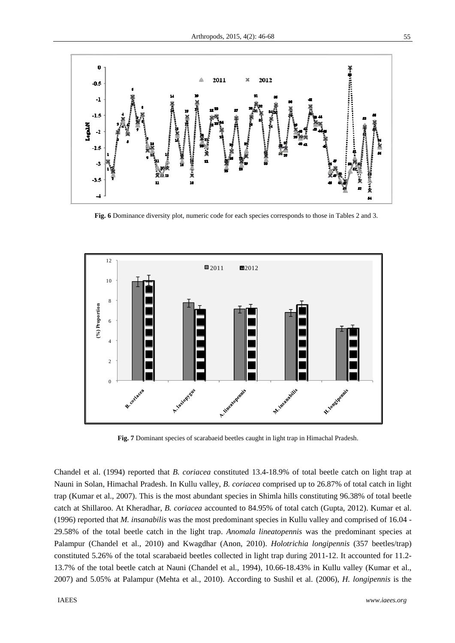![](_page_9_Figure_1.jpeg)

 **Fig. 6** Dominance diversity plot, numeric code for each species corresponds to those in Tables 2 and 3.

![](_page_9_Figure_3.jpeg)

 **Fig. 7** Dominant species of scarabaeid beetles caught in light trap in Himachal Pradesh.

Chandel et al. (1994) reported that *B. coriacea* constituted 13.4-18.9% of total beetle catch on light trap at Nauni in Solan, Himachal Pradesh. In Kullu valley, *B. coriacea* comprised up to 26.87% of total catch in light trap (Kumar et al., 2007). This is the most abundant species in Shimla hills constituting 96.38% of total beetle catch at Shillaroo. At Kheradhar, *B. coriacea* accounted to 84.95% of total catch (Gupta, 2012). Kumar et al. (1996) reported that *M. insanabilis* was the most predominant species in Kullu valley and comprised of 16.04 - 29.58% of the total beetle catch in the light trap. *Anomala lineatopennis* was the predominant species at Palampur (Chandel et al., 2010) and Kwagdhar (Anon, 2010). *Holotrichia longipennis* (357 beetles/trap) constituted 5.26% of the total scarabaeid beetles collected in light trap during 2011-12. It accounted for 11.2- 13.7% of the total beetle catch at Nauni (Chandel et al., 1994), 10.66-18.43% in Kullu valley (Kumar et al., 2007) and 5.05% at Palampur (Mehta et al., 2010). According to Sushil et al. (2006), *H. longipennis* is the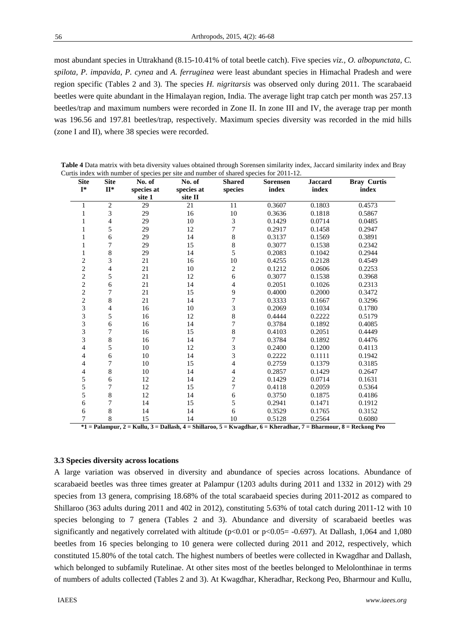most abundant species in Uttrakhand (8.15-10.41% of total beetle catch). Five species *viz., O. albopunctata, C. spilota, P. impavida, P. cynea* and *A. ferruginea* were least abundant species in Himachal Pradesh and were region specific (Tables 2 and 3). The species *H. nigritarsis* was observed only during 2011. The scarabaeid beetles were quite abundant in the Himalayan region, India. The average light trap catch per month was 257.13 beetles/trap and maximum numbers were recorded in Zone II. In zone III and IV, the average trap per month was 196.56 and 197.81 beetles/trap, respectively. Maximum species diversity was recorded in the mid hills (zone I and II), where 38 species were recorded.

| <b>Site</b>    | <b>Site</b>    | No. of     | No. of     | <b>Shared</b>  | <b>Sorensen</b> | <b>Jaccard</b> | <b>Bray Curtis</b> |
|----------------|----------------|------------|------------|----------------|-----------------|----------------|--------------------|
| $I^*$          | $\Pi^*$        | species at | species at | species        | index           | index          | index              |
|                |                | site 1     | site II    |                |                 |                |                    |
| 1              | $\overline{c}$ | 29         | 21         | 11             | 0.3607          | 0.1803         | 0.4573             |
| 1              | 3              | 29         | 16         | 10             | 0.3636          | 0.1818         | 0.5867             |
| 1              | $\overline{4}$ | 29         | 10         | 3              | 0.1429          | 0.0714         | 0.0485             |
| 1              | 5              | 29         | 12         | 7              | 0.2917          | 0.1458         | 0.2947             |
| 1              | 6              | 29         | 14         | 8              | 0.3137          | 0.1569         | 0.3891             |
| 1              | 7              | 29         | 15         | 8              | 0.3077          | 0.1538         | 0.2342             |
| 1              | 8              | 29         | 14         | 5              | 0.2083          | 0.1042         | 0.2944             |
| $\overline{c}$ | 3              | 21         | 16         | 10             | 0.4255          | 0.2128         | 0.4549             |
| $\overline{c}$ | 4              | 21         | $10\,$     | $\mathbf{2}$   | 0.1212          | 0.0606         | 0.2253             |
| $\overline{c}$ | 5              | 21         | 12         | 6              | 0.3077          | 0.1538         | 0.3968             |
| $\overline{c}$ | 6              | 21         | 14         | 4              | 0.2051          | 0.1026         | 0.2313             |
| $\overline{2}$ | 7              | 21         | 15         | 9              | 0.4000          | 0.2000         | 0.3472             |
| $\overline{c}$ | 8              | 21         | 14         | $\overline{7}$ | 0.3333          | 0.1667         | 0.3296             |
| 3              | 4              | 16         | $10\,$     | 3              | 0.2069          | 0.1034         | 0.1780             |
| 3              | 5              | 16         | 12         | $\,8\,$        | 0.4444          | 0.2222         | 0.5179             |
| 3              | 6              | 16         | 14         | 7              | 0.3784          | 0.1892         | 0.4085             |
| 3              | 7              | 16         | 15         | 8              | 0.4103          | 0.2051         | 0.4449             |
| 3              | 8              | 16         | 14         | 7              | 0.3784          | 0.1892         | 0.4476             |
| 4              | 5              | 10         | 12         | 3              | 0.2400          | 0.1200         | 0.4113             |
| 4              | 6              | 10         | 14         | 3              | 0.2222          | 0.1111         | 0.1942             |
| 4              | 7              | 10         | 15         | 4              | 0.2759          | 0.1379         | 0.3185             |
| 4              | 8              | 10         | 14         | 4              | 0.2857          | 0.1429         | 0.2647             |
| 5              | 6              | 12         | 14         | $\overline{c}$ | 0.1429          | 0.0714         | 0.1631             |
| 5              | 7              | 12         | 15         | 7              | 0.4118          | 0.2059         | 0.5364             |
| 5              | 8              | 12         | 14         | 6              | 0.3750          | 0.1875         | 0.4186             |
| 6              | 7              | 14         | 15         | 5              | 0.2941          | 0.1471         | 0.1912             |
| 6              | 8              | 14         | 14         | 6              | 0.3529          | 0.1765         | 0.3152             |
| $\overline{7}$ | 8              | 15         | 14         | 10             | 0.5128          | 0.2564         | 0.6080             |

**Table 4** Data matrix with beta diversity values obtained through Sorensen similarity index, Jaccard similarity index and Bray Curtis index with number of species per site and number of shared species for 2011-12.

# **3.3 Species diversity across locations**

A large variation was observed in diversity and abundance of species across locations. Abundance of scarabaeid beetles was three times greater at Palampur (1203 adults during 2011 and 1332 in 2012) with 29 species from 13 genera, comprising 18.68% of the total scarabaeid species during 2011-2012 as compared to Shillaroo (363 adults during 2011 and 402 in 2012), constituting 5.63% of total catch during 2011-12 with 10 species belonging to 7 genera (Tables 2 and 3). Abundance and diversity of scarabaeid beetles was significantly and negatively correlated with altitude ( $p<0.01$  or  $p<0.05=$  -0.697). At Dallash, 1,064 and 1,080 beetles from 16 species belonging to 10 genera were collected during 2011 and 2012, respectively, which constituted 15.80% of the total catch. The highest numbers of beetles were collected in Kwagdhar and Dallash, which belonged to subfamily Rutelinae. At other sites most of the beetles belonged to Melolonthinae in terms of numbers of adults collected (Tables 2 and 3). At Kwagdhar, Kheradhar, Reckong Peo, Bharmour and Kullu,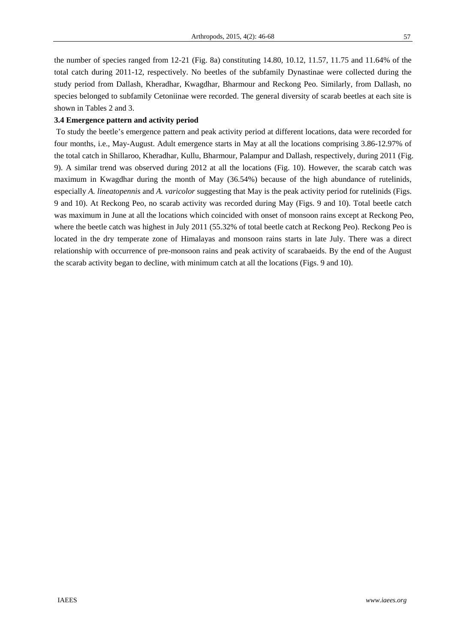the number of species ranged from 12-21 (Fig. 8a) constituting 14.80, 10.12, 11.57, 11.75 and 11.64% of the total catch during 2011-12, respectively. No beetles of the subfamily Dynastinae were collected during the study period from Dallash, Kheradhar, Kwagdhar, Bharmour and Reckong Peo. Similarly, from Dallash, no species belonged to subfamily Cetoniinae were recorded. The general diversity of scarab beetles at each site is shown in Tables 2 and 3.

# **3.4 Emergence pattern and activity period**

 To study the beetle's emergence pattern and peak activity period at different locations, data were recorded for four months, i.e., May-August. Adult emergence starts in May at all the locations comprising 3.86-12.97% of the total catch in Shillaroo, Kheradhar, Kullu, Bharmour, Palampur and Dallash, respectively, during 2011 (Fig. 9). A similar trend was observed during 2012 at all the locations (Fig. 10). However, the scarab catch was maximum in Kwagdhar during the month of May (36.54%) because of the high abundance of rutelinids, especially *A. lineatopennis* and *A. varicolor* suggesting that May is the peak activity period for rutelinids (Figs. 9 and 10). At Reckong Peo, no scarab activity was recorded during May (Figs. 9 and 10). Total beetle catch was maximum in June at all the locations which coincided with onset of monsoon rains except at Reckong Peo, where the beetle catch was highest in July 2011 (55.32% of total beetle catch at Reckong Peo). Reckong Peo is located in the dry temperate zone of Himalayas and monsoon rains starts in late July. There was a direct relationship with occurrence of pre-monsoon rains and peak activity of scarabaeids. By the end of the August the scarab activity began to decline, with minimum catch at all the locations (Figs. 9 and 10).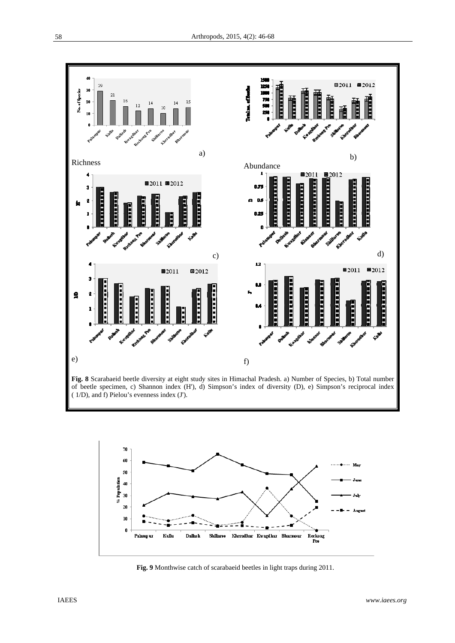![](_page_12_Figure_1.jpeg)

**Fig. 8** Scarabaeid beetle diversity at eight study sites in Himachal Pradesh. a) Number of Species, b) Total number of beetle specimen, c) Shannon index (H'), d) Simpson's index of diversity (D), e) Simpson's reciprocal index ( 1/D), and f) Pielou's evenness index (J').

![](_page_12_Figure_3.jpeg)

 **Fig. 9** Monthwise catch of scarabaeid beetles in light traps during 2011.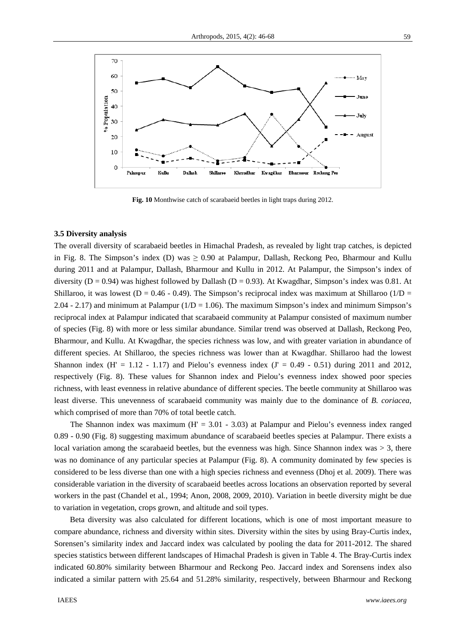![](_page_13_Figure_1.jpeg)

**Fig. 10** Monthwise catch of scarabaeid beetles in light traps during 2012.

# **3.5 Diversity analysis**

The overall diversity of scarabaeid beetles in Himachal Pradesh, as revealed by light trap catches, is depicted in Fig. 8. The Simpson's index (D) was  $\geq 0.90$  at Palampur, Dallash, Reckong Peo, Bharmour and Kullu during 2011 and at Palampur, Dallash, Bharmour and Kullu in 2012. At Palampur, the Simpson's index of diversity ( $D = 0.94$ ) was highest followed by Dallash ( $D = 0.93$ ). At Kwagdhar, Simpson's index was 0.81. At Shillaroo, it was lowest (D = 0.46 - 0.49). The Simpson's reciprocal index was maximum at Shillaroo ( $1/D =$ 2.04 - 2.17) and minimum at Palampur  $(1/D = 1.06)$ . The maximum Simpson's index and minimum Simpson's reciprocal index at Palampur indicated that scarabaeid community at Palampur consisted of maximum number of species (Fig. 8) with more or less similar abundance. Similar trend was observed at Dallash, Reckong Peo, Bharmour, and Kullu. At Kwagdhar, the species richness was low, and with greater variation in abundance of different species. At Shillaroo, the species richness was lower than at Kwagdhar. Shillaroo had the lowest Shannon index  $(H' = 1.12 - 1.17)$  and Pielou's evenness index  $(J' = 0.49 - 0.51)$  during 2011 and 2012, respectively (Fig. 8). These values for Shannon index and Pielou's evenness index showed poor species richness, with least evenness in relative abundance of different species. The beetle community at Shillaroo was least diverse. This unevenness of scarabaeid community was mainly due to the dominance of *B. coriacea*, which comprised of more than 70% of total beetle catch.

The Shannon index was maximum  $(H = 3.01 - 3.03)$  at Palampur and Pielou's evenness index ranged 0.89 - 0.90 (Fig. 8) suggesting maximum abundance of scarabaeid beetles species at Palampur. There exists a local variation among the scarabaeid beetles, but the evenness was high. Since Shannon index was  $> 3$ , there was no dominance of any particular species at Palampur (Fig. 8). A community dominated by few species is considered to be less diverse than one with a high species richness and evenness (Dhoj et al*.* 2009). There was considerable variation in the diversity of scarabaeid beetles across locations an observation reported by several workers in the past (Chandel et al*.*, 1994; Anon, 2008, 2009, 2010). Variation in beetle diversity might be due to variation in vegetation, crops grown, and altitude and soil types.

Beta diversity was also calculated for different locations, which is one of most important measure to compare abundance, richness and diversity within sites. Diversity within the sites by using Bray-Curtis index, Sorensen's similarity index and Jaccard index was calculated by pooling the data for 2011-2012. The shared species statistics between different landscapes of Himachal Pradesh is given in Table 4. The Bray-Curtis index indicated 60.80% similarity between Bharmour and Reckong Peo. Jaccard index and Sorensens index also indicated a similar pattern with 25.64 and 51.28% similarity, respectively, between Bharmour and Reckong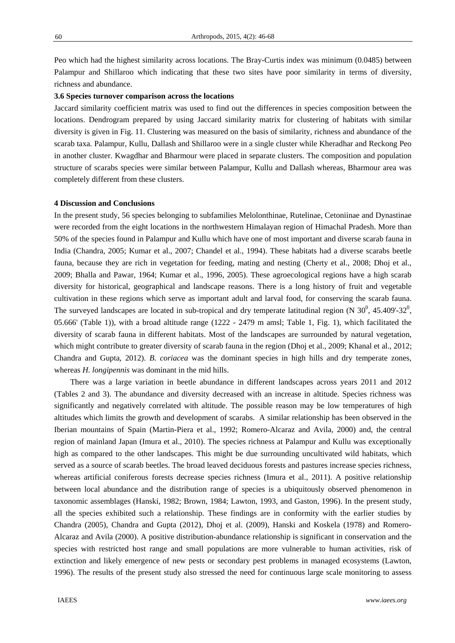Peo which had the highest similarity across locations. The Bray-Curtis index was minimum (0.0485) between Palampur and Shillaroo which indicating that these two sites have poor similarity in terms of diversity, richness and abundance.

### **3.6 Species turnover comparison across the locations**

Jaccard similarity coefficient matrix was used to find out the differences in species composition between the locations. Dendrogram prepared by using Jaccard similarity matrix for clustering of habitats with similar diversity is given in Fig. 11. Clustering was measured on the basis of similarity, richness and abundance of the scarab taxa. Palampur, Kullu, Dallash and Shillaroo were in a single cluster while Kheradhar and Reckong Peo in another cluster. Kwagdhar and Bharmour were placed in separate clusters. The composition and population structure of scarabs species were similar between Palampur, Kullu and Dallash whereas, Bharmour area was completely different from these clusters.

#### **4 Discussion and Conclusions**

In the present study, 56 species belonging to subfamilies Melolonthinae, Rutelinae, Cetoniinae and Dynastinae were recorded from the eight locations in the northwestern Himalayan region of Himachal Pradesh. More than 50% of the species found in Palampur and Kullu which have one of most important and diverse scarab fauna in India (Chandra, 2005; Kumar et al., 2007; Chandel et al., 1994). These habitats had a diverse scarabs beetle fauna, because they are rich in vegetation for feeding, mating and nesting (Cherty et al., 2008; Dhoj et al., 2009; Bhalla and Pawar, 1964; Kumar et al., 1996, 2005). These agroecological regions have a high scarab diversity for historical, geographical and landscape reasons. There is a long history of fruit and vegetable cultivation in these regions which serve as important adult and larval food, for conserving the scarab fauna. The surveyed landscapes are located in sub-tropical and dry temperate latitudinal region (N  $30^0$ , 45.409'-32<sup>0</sup>, 05.666' (Table 1)), with a broad altitude range (1222 - 2479 m amsl; Table 1, Fig. 1), which facilitated the diversity of scarab fauna in different habitats. Most of the landscapes are surrounded by natural vegetation, which might contribute to greater diversity of scarab fauna in the region (Dhoj et al., 2009; Khanal et al., 2012; Chandra and Gupta, 2012). *B. coriacea* was the dominant species in high hills and dry temperate zones, whereas *H. longipennis* was dominant in the mid hills.

There was a large variation in beetle abundance in different landscapes across years 2011 and 2012 (Tables 2 and 3). The abundance and diversity decreased with an increase in altitude. Species richness was significantly and negatively correlated with altitude. The possible reason may be low temperatures of high altitudes which limits the growth and development of scarabs. A similar relationship has been observed in the Iberian mountains of Spain (Martin-Piera et al., 1992; Romero-Alcaraz and Avila, 2000) and, the central region of mainland Japan (Imura et al., 2010). The species richness at Palampur and Kullu was exceptionally high as compared to the other landscapes. This might be due surrounding uncultivated wild habitats, which served as a source of scarab beetles. The broad leaved deciduous forests and pastures increase species richness, whereas artificial coniferous forests decrease species richness (Imura et al., 2011). A positive relationship between local abundance and the distribution range of species is a ubiquitously observed phenomenon in taxonomic assemblages (Hanski, 1982; Brown, 1984; Lawton, 1993, and Gaston, 1996). In the present study, all the species exhibited such a relationship. These findings are in conformity with the earlier studies by Chandra (2005), Chandra and Gupta (2012), Dhoj et al. (2009), Hanski and Koskela (1978) and Romero-Alcaraz and Avila (2000). A positive distribution-abundance relationship is significant in conservation and the species with restricted host range and small populations are more vulnerable to human activities, risk of extinction and likely emergence of new pests or secondary pest problems in managed ecosystems (Lawton, 1996). The results of the present study also stressed the need for continuous large scale monitoring to assess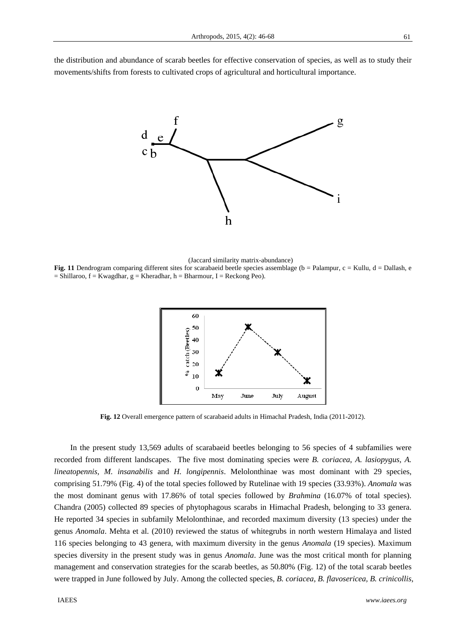the distribution and abundance of scarab beetles for effective conservation of species, as well as to study their movements/shifts from forests to cultivated crops of agricultural and horticultural importance.

![](_page_15_Figure_2.jpeg)

(Jaccard similarity matrix-abundance)

**Fig. 11** Dendrogram comparing different sites for scarabaeid beetle species assemblage (b = Palampur, c = Kullu, d = Dallash, e  $=$  Shillaroo,  $f =$  Kwagdhar,  $g =$  Kheradhar,  $h =$  Bharmour, I = Reckong Peo).

![](_page_15_Figure_5.jpeg)

**Fig. 12** Overall emergence pattern of scarabaeid adults in Himachal Pradesh, India (2011-2012).

In the present study 13,569 adults of scarabaeid beetles belonging to 56 species of 4 subfamilies were recorded from different landscapes. The five most dominating species were *B. coriacea*, *A. lasiopygus, A. lineatopennis, M. insanabilis* and *H. longipennis*. Melolonthinae was most dominant with 29 species, comprising 51.79% (Fig. 4) of the total species followed by Rutelinae with 19 species (33.93%). *Anomala* was the most dominant genus with 17.86% of total species followed by *Brahmina* (16.07% of total species). Chandra (2005) collected 89 species of phytophagous scarabs in Himachal Pradesh, belonging to 33 genera. He reported 34 species in subfamily Melolonthinae, and recorded maximum diversity (13 species) under the genus *Anomala*. Mehta et al. (2010) reviewed the status of whitegrubs in north western Himalaya and listed 116 species belonging to 43 genera, with maximum diversity in the genus *Anomala* (19 species). Maximum species diversity in the present study was in genus *Anomala*. June was the most critical month for planning management and conservation strategies for the scarab beetles, as 50.80% (Fig. 12) of the total scarab beetles were trapped in June followed by July. Among the collected species, *B. coriacea*, *B. flavosericea, B. crinicollis,*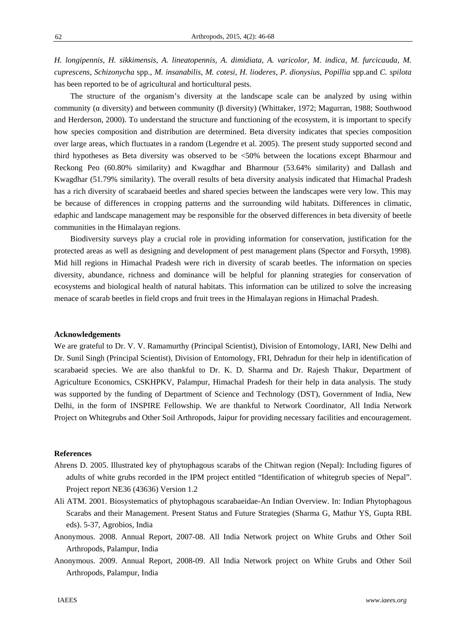*H. longipennis, H. sikkimensis, A. lineatopennis, A. dimidiata, A. varicolor, M. indica, M. furcicauda, M. cuprescens, Schizonycha* spp.*, M. insanabilis, M. cotesi, H. lioderes, P. dionysius, Popillia* spp.and *C. spilota* has been reported to be of agricultural and horticultural pests.

The structure of the organism's diversity at the landscape scale can be analyzed by using within community (α diversity) and between community (β diversity) (Whittaker, 1972; Magurran, 1988; Southwood and Herderson, 2000). To understand the structure and functioning of the ecosystem, it is important to specify how species composition and distribution are determined. Beta diversity indicates that species composition over large areas, which fluctuates in a random (Legendre et al. 2005). The present study supported second and third hypotheses as Beta diversity was observed to be <50% between the locations except Bharmour and Reckong Peo (60.80% similarity) and Kwagdhar and Bharmour (53.64% similarity) and Dallash and Kwagdhar (51.79% similarity). The overall results of beta diversity analysis indicated that Himachal Pradesh has a rich diversity of scarabaeid beetles and shared species between the landscapes were very low. This may be because of differences in cropping patterns and the surrounding wild habitats. Differences in climatic, edaphic and landscape management may be responsible for the observed differences in beta diversity of beetle communities in the Himalayan regions.

Biodiversity surveys play a crucial role in providing information for conservation, justification for the protected areas as well as designing and development of pest management plans (Spector and Forsyth, 1998). Mid hill regions in Himachal Pradesh were rich in diversity of scarab beetles. The information on species diversity, abundance, richness and dominance will be helpful for planning strategies for conservation of ecosystems and biological health of natural habitats. This information can be utilized to solve the increasing menace of scarab beetles in field crops and fruit trees in the Himalayan regions in Himachal Pradesh.

### **Acknowledgements**

We are grateful to Dr. V. V. Ramamurthy (Principal Scientist), Division of Entomology, IARI, New Delhi and Dr. Sunil Singh (Principal Scientist), Division of Entomology, FRI, Dehradun for their help in identification of scarabaeid species. We are also thankful to Dr. K. D. Sharma and Dr. Rajesh Thakur, Department of Agriculture Economics, CSKHPKV, Palampur, Himachal Pradesh for their help in data analysis. The study was supported by the funding of Department of Science and Technology (DST), Government of India, New Delhi, in the form of INSPIRE Fellowship. We are thankful to Network Coordinator, All India Network Project on Whitegrubs and Other Soil Arthropods, Jaipur for providing necessary facilities and encouragement.

#### **References**

- Ahrens D. 2005. Illustrated key of phytophagous scarabs of the Chitwan region (Nepal): Including figures of adults of white grubs recorded in the IPM project entitled "Identification of whitegrub species of Nepal". Project report NE36 (43636) Version 1.2
- Ali ATM. 2001. Biosystematics of phytophagous scarabaeidae-An Indian Overview. In: Indian Phytophagous Scarabs and their Management. Present Status and Future Strategies (Sharma G, Mathur YS, Gupta RBL eds). 5-37, Agrobios, India
- Anonymous. 2008. Annual Report, 2007-08. All India Network project on White Grubs and Other Soil Arthropods, Palampur, India
- Anonymous. 2009. Annual Report, 2008-09. All India Network project on White Grubs and Other Soil Arthropods, Palampur, India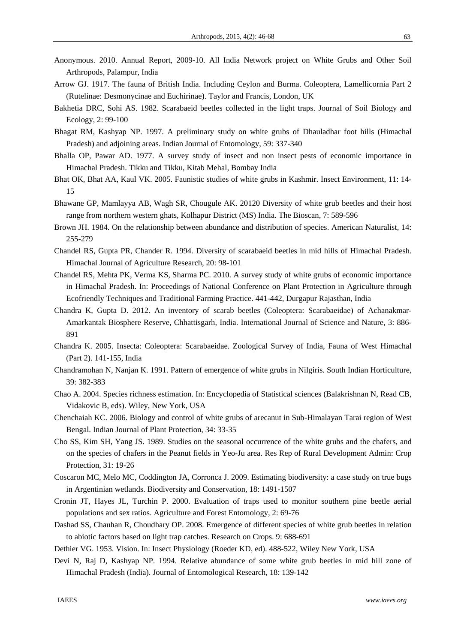- Anonymous. 2010. Annual Report, 2009-10. All India Network project on White Grubs and Other Soil Arthropods, Palampur, India
- Arrow GJ. 1917. The fauna of British India. Including Ceylon and Burma. Coleoptera, Lamellicornia Part 2 (Rutelinae: Desmonycinae and Euchirinae). Taylor and Francis, London, UK
- Bakhetia DRC, Sohi AS. 1982. Scarabaeid beetles collected in the light traps. Journal of Soil Biology and Ecology, 2: 99-100
- Bhagat RM, Kashyap NP. 1997. A preliminary study on white grubs of Dhauladhar foot hills (Himachal Pradesh) and adjoining areas. Indian Journal of Entomology, 59: 337-340
- Bhalla OP, Pawar AD. 1977. A survey study of insect and non insect pests of economic importance in Himachal Pradesh. Tikku and Tikku, Kitab Mehal, Bombay India
- Bhat OK, Bhat AA, Kaul VK. 2005. Faunistic studies of white grubs in Kashmir. Insect Environment, 11: 14- 15
- Bhawane GP, Mamlayya AB, Wagh SR, Chougule AK. 20120 Diversity of white grub beetles and their host range from northern western ghats, Kolhapur District (MS) India. The Bioscan, 7: 589-596
- Brown JH. 1984. On the relationship between abundance and distribution of species. American Naturalist, 14: 255-279
- Chandel RS, Gupta PR, Chander R. 1994. Diversity of scarabaeid beetles in mid hills of Himachal Pradesh. Himachal Journal of Agriculture Research, 20: 98-101
- Chandel RS, Mehta PK, Verma KS, Sharma PC. 2010. A survey study of white grubs of economic importance in Himachal Pradesh. In: Proceedings of National Conference on Plant Protection in Agriculture through Ecofriendly Techniques and Traditional Farming Practice. 441-442, Durgapur Rajasthan, India
- Chandra K, Gupta D. 2012. An inventory of scarab beetles (Coleoptera: Scarabaeidae) of Achanakmar-Amarkantak Biosphere Reserve, Chhattisgarh, India. International Journal of Science and Nature, 3: 886- 891
- Chandra K. 2005. Insecta: Coleoptera: Scarabaeidae. Zoological Survey of India, Fauna of West Himachal (Part 2). 141-155, India
- Chandramohan N, Nanjan K. 1991. Pattern of emergence of white grubs in Nilgiris. South Indian Horticulture, 39: 382-383
- Chao A. 2004. Species richness estimation. In: Encyclopedia of Statistical sciences (Balakrishnan N, Read CB, Vidakovic B, eds). Wiley, New York, USA
- Chenchaiah KC. 2006. Biology and control of white grubs of arecanut in Sub-Himalayan Tarai region of West Bengal. Indian Journal of Plant Protection, 34: 33-35
- Cho SS, Kim SH, Yang JS. 1989. Studies on the seasonal occurrence of the white grubs and the chafers, and on the species of chafers in the Peanut fields in Yeo-Ju area. Res Rep of Rural Development Admin: Crop Protection, 31: 19-26
- Coscaron MC, Melo MC, Coddington JA, Corronca J. 2009. Estimating biodiversity: a case study on true bugs in Argentinian wetlands. Biodiversity and Conservation, 18: 1491-1507
- Cronin JT, Hayes JL, Turchin P. 2000. Evaluation of traps used to monitor southern pine beetle aerial populations and sex ratios. Agriculture and Forest Entomology, 2: 69-76
- Dashad SS, Chauhan R, Choudhary OP. 2008. Emergence of different species of white grub beetles in relation to abiotic factors based on light trap catches. Research on Crops. 9: 688-691
- Dethier VG. 1953. Vision. In: Insect Physiology (Roeder KD, ed). 488-522, Wiley New York, USA
- Devi N, Raj D, Kashyap NP. 1994. Relative abundance of some white grub beetles in mid hill zone of Himachal Pradesh (India). Journal of Entomological Research, 18: 139-142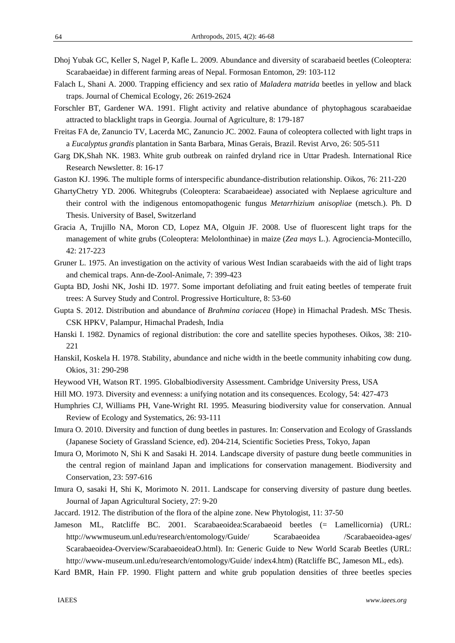- Dhoj Yubak GC, Keller S, Nagel P, Kafle L. 2009. Abundance and diversity of scarabaeid beetles (Coleoptera: Scarabaeidae) in different farming areas of Nepal. Formosan Entomon, 29: 103-112
- Falach L, Shani A. 2000. Trapping efficiency and sex ratio of *Maladera matrida* beetles in yellow and black traps. Journal of Chemical Ecology, 26: 2619-2624
- Forschler BT, Gardener WA. 1991. Flight activity and relative abundance of phytophagous scarabaeidae attracted to blacklight traps in Georgia. Journal of Agriculture, 8: 179-187
- Freitas FA de, Zanuncio TV, Lacerda MC, Zanuncio JC. 2002. Fauna of coleoptera collected with light traps in a *Eucalyptus grandis* plantation in Santa Barbara, Minas Gerais, Brazil. Revist Arvo, 26: 505-511
- Garg DK,Shah NK. 1983. White grub outbreak on rainfed dryland rice in Uttar Pradesh. International Rice Research Newsletter. 8: 16-17
- Gaston KJ. 1996. The multiple forms of interspecific abundance-distribution relationship. Oikos, 76: 211-220
- GhartyChetry YD. 2006. Whitegrubs (Coleoptera: Scarabaeideae) associated with Neplaese agriculture and their control with the indigenous entomopathogenic fungus *Metarrhizium anisopliae* (metsch.). Ph. D Thesis. University of Basel, Switzerland
- Gracia A, Trujillo NA, Moron CD, Lopez MA, Olguin JF. 2008. Use of fluorescent light traps for the management of white grubs (Coleoptera: Melolonthinae) in maize (*Zea mays* L.). Agrociencia-Montecillo, 42: 217-223
- Gruner L. 1975. An investigation on the activity of various West Indian scarabaeids with the aid of light traps and chemical traps. Ann-de-Zool-Animale, 7: 399-423
- Gupta BD, Joshi NK, Joshi ID. 1977. Some important defoliating and fruit eating beetles of temperate fruit trees: A Survey Study and Control. Progressive Horticulture, 8: 53-60
- Gupta S. 2012. Distribution and abundance of *Brahmina coriacea* (Hope) in Himachal Pradesh. MSc Thesis. CSK HPKV, Palampur, Himachal Pradesh, India
- Hanski I. 1982. Dynamics of regional distribution: the core and satellite species hypotheses. Oikos, 38: 210- 221
- HanskiI, Koskela H. 1978. Stability, abundance and niche width in the beetle community inhabiting cow dung. Okios, 31: 290-298
- Heywood VH, Watson RT. 1995. Globalbiodiversity Assessment. Cambridge University Press, USA
- Hill MO. 1973. Diversity and evenness: a unifying notation and its consequences. Ecology, 54: 427-473
- Humphries CJ, Williams PH, Vane-Wright RI. 1995. Measuring biodiversity value for conservation. Annual Review of Ecology and Systematics, 26: 93-111
- Imura O. 2010. Diversity and function of dung beetles in pastures. In: Conservation and Ecology of Grasslands (Japanese Society of Grassland Science, ed). 204-214, Scientific Societies Press, Tokyo, Japan
- Imura O, Morimoto N, Shi K and Sasaki H. 2014. Landscape diversity of pasture dung beetle communities in the central region of mainland Japan and implications for conservation management. Biodiversity and Conservation, 23: 597-616
- Imura O, sasaki H, Shi K, Morimoto N. 2011. Landscape for conserving diversity of pasture dung beetles. Journal of Japan Agricultural Society, 27: 9-20
- Jaccard. 1912. The distribution of the flora of the alpine zone. New Phytologist, 11: 37-50

Jameson ML, Ratcliffe BC. 2001. Scarabaeoidea:Scarabaeoid beetles (= Lamellicornia) (URL: http://wwwmuseum.unl.edu/research/entomology/Guide/ Scarabaeoidea /Scarabaeoidea-ages/ Scarabaeoidea-Overview/ScarabaeoideaO.html). In: Generic Guide to New World Scarab Beetles (URL: http://www-museum.unl.edu/research/entomology/Guide/ index4.htm) (Ratcliffe BC, Jameson ML, eds).

Kard BMR, Hain FP. 1990. Flight pattern and white grub population densities of three beetles species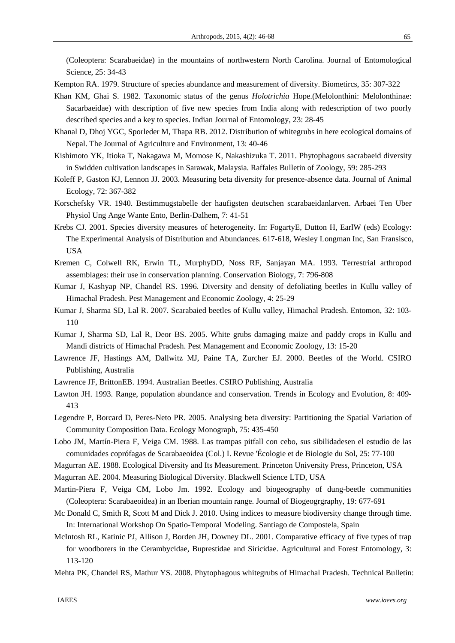(Coleoptera: Scarabaeidae) in the mountains of northwestern North Carolina. Journal of Entomological Science, 25: 34-43

Kempton RA. 1979. Structure of species abundance and measurement of diversity. Biometircs, 35: 307-322

Khan KM, Ghai S. 1982. Taxonomic status of the genus *Holotrichia* Hope.(Melolonthini: Melolonthinae: Sacarbaeidae) with description of five new species from India along with redescription of two poorly described species and a key to species. Indian Journal of Entomology, 23: 28-45

- Khanal D, Dhoj YGC, Sporleder M, Thapa RB. 2012. Distribution of whitegrubs in here ecological domains of Nepal. The Journal of Agriculture and Environment, 13: 40-46
- Kishimoto YK, Itioka T, Nakagawa M, Momose K, Nakashizuka T. 2011. Phytophagous sacrabaeid diversity in Swidden cultivation landscapes in Sarawak, Malaysia. Raffales Bulletin of Zoology, 59: 285-293
- Koleff P, Gaston KJ, Lennon JJ. 2003. Measuring beta diversity for presence-absence data. Journal of Animal Ecology, 72: 367-382
- Korschefsky VR. 1940. Bestimmugstabelle der haufigsten deutschen scarabaeidanlarven. Arbaei Ten Uber Physiol Ung Ange Wante Ento, Berlin-Dalhem, 7: 41-51
- Krebs CJ. 2001. Species diversity measures of heterogeneity. In: FogartyE, Dutton H, EarlW (eds) Ecology: The Experimental Analysis of Distribution and Abundances. 617-618, Wesley Longman Inc, San Fransisco, USA
- Kremen C, Colwell RK, Erwin TL, MurphyDD, Noss RF, Sanjayan MA. 1993. Terrestrial arthropod assemblages: their use in conservation planning. Conservation Biology, 7: 796-808
- Kumar J, Kashyap NP, Chandel RS. 1996. Diversity and density of defoliating beetles in Kullu valley of Himachal Pradesh. Pest Management and Economic Zoology, 4: 25-29
- Kumar J, Sharma SD, Lal R. 2007. Scarabaied beetles of Kullu valley, Himachal Pradesh. Entomon, 32: 103- 110
- Kumar J, Sharma SD, Lal R, Deor BS. 2005. White grubs damaging maize and paddy crops in Kullu and Mandi districts of Himachal Pradesh. Pest Management and Economic Zoology, 13: 15-20
- Lawrence JF, Hastings AM, Dallwitz MJ, Paine TA, Zurcher EJ. 2000. Beetles of the World. CSIRO Publishing, Australia
- Lawrence JF, BrittonEB. 1994. Australian Beetles. CSIRO Publishing, Australia
- Lawton JH. 1993. Range, population abundance and conservation. Trends in Ecology and Evolution, 8: 409- 413
- Legendre P, Borcard D, Peres-Neto PR. 2005. Analysing beta diversity: Partitioning the Spatial Variation of Community Composition Data. Ecology Monograph, 75: 435-450
- Lobo JM, Martín-Piera F, Veiga CM. 1988. Las trampas pitfall con cebo, sus sibilidadesen el estudio de las comunidades coprófagas de Scarabaeoidea (Col.) I. Revue 'Écologie et de Biologie du Sol, 25: 77-100
- Magurran AE. 1988. Ecological Diversity and Its Measurement. Princeton University Press, Princeton, USA
- Magurran AE. 2004. Measuring Biological Diversity. Blackwell Science LTD, USA

Martin-Piera F, Veiga CM, Lobo Jm. 1992. Ecology and biogeography of dung-beetle communities (Coleoptera: Scarabaeoidea) in an Iberian mountain range. Journal of Biogeogrgraphy, 19: 677-691

- Mc Donald C, Smith R, Scott M and Dick J. 2010. Using indices to measure biodiversity change through time. In: International Workshop On Spatio-Temporal Modeling. Santiago de Compostela, Spain
- McIntosh RL, Katinic PJ, Allison J, Borden JH, Downey DL. 2001. Comparative efficacy of five types of trap for woodborers in the Cerambycidae, Buprestidae and Siricidae. Agricultural and Forest Entomology, 3: 113-120
- Mehta PK, Chandel RS, Mathur YS. 2008. Phytophagous whitegrubs of Himachal Pradesh. Technical Bulletin: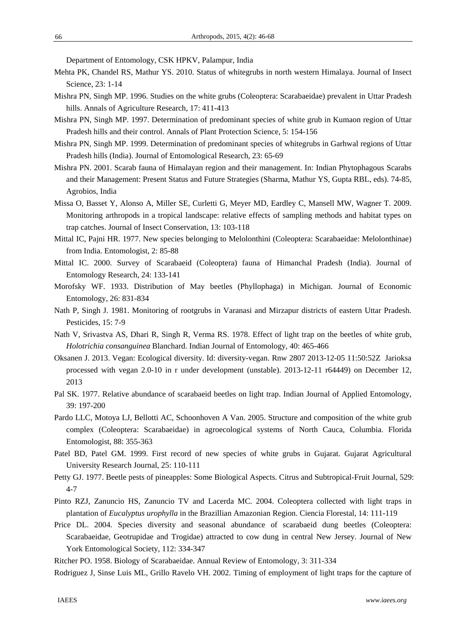Department of Entomology, CSK HPKV, Palampur, India

- Mehta PK, Chandel RS, Mathur YS. 2010. Status of whitegrubs in north western Himalaya. Journal of Insect Science, 23: 1-14
- Mishra PN, Singh MP. 1996. Studies on the white grubs (Coleoptera: Scarabaeidae) prevalent in Uttar Pradesh hills. Annals of Agriculture Research, 17: 411-413
- Mishra PN, Singh MP. 1997. Determination of predominant species of white grub in Kumaon region of Uttar Pradesh hills and their control. Annals of Plant Protection Science, 5: 154-156
- Mishra PN, Singh MP. 1999. Determination of predominant species of whitegrubs in Garhwal regions of Uttar Pradesh hills (India). Journal of Entomological Research, 23: 65-69
- Mishra PN. 2001. Scarab fauna of Himalayan region and their management. In: Indian Phytophagous Scarabs and their Management: Present Status and Future Strategies (Sharma, Mathur YS, Gupta RBL, eds). 74-85, Agrobios, India
- Missa O, Basset Y, Alonso A, Miller SE, Curletti G, Meyer MD, Eardley C, Mansell MW, Wagner T. 2009. Monitoring arthropods in a tropical landscape: relative effects of sampling methods and habitat types on trap catches. Journal of Insect Conservation, 13: 103-118
- Mittal IC, Pajni HR. 1977. New species belonging to Melolonthini (Coleoptera: Scarabaeidae: Melolonthinae) from India. Entomologist, 2: 85-88
- Mittal IC. 2000. Survey of Scarabaeid (Coleoptera) fauna of Himanchal Pradesh (India). Journal of Entomology Research, 24: 133-141
- Morofsky WF. 1933. Distribution of May beetles (Phyllophaga) in Michigan. Journal of Economic Entomology, 26: 831-834
- Nath P, Singh J. 1981. Monitoring of rootgrubs in Varanasi and Mirzapur districts of eastern Uttar Pradesh. Pesticides, 15: 7-9
- Nath V, Srivastva AS, Dhari R, Singh R, Verma RS. 1978. Effect of light trap on the beetles of white grub, *Holotrichia consanguinea* Blanchard. Indian Journal of Entomology, 40: 465-466
- Oksanen J. 2013. Vegan: Ecological diversity. Id: diversity-vegan. Rnw 2807 2013-12-05 11:50:52Z Jarioksa processed with vegan 2.0-10 in r under development (unstable). 2013-12-11 r64449) on December 12, 2013
- Pal SK. 1977. Relative abundance of scarabaeid beetles on light trap. Indian Journal of Applied Entomology, 39: 197-200
- Pardo LLC, Motoya LJ, Bellotti AC, Schoonhoven A Van. 2005. Structure and composition of the white grub complex (Coleoptera: Scarabaeidae) in agroecological systems of North Cauca, Columbia. Florida Entomologist, 88: 355-363
- Patel BD, Patel GM. 1999. First record of new species of white grubs in Gujarat. Gujarat Agricultural University Research Journal, 25: 110-111
- Petty GJ. 1977. Beetle pests of pineapples: Some Biological Aspects. Citrus and Subtropical-Fruit Journal, 529: 4-7
- Pinto RZJ, Zanuncio HS, Zanuncio TV and Lacerda MC. 2004. Coleoptera collected with light traps in plantation of *Eucalyptus urophylla* in the Brazillian Amazonian Region. Ciencia Florestal, 14: 111-119
- Price DL. 2004. Species diversity and seasonal abundance of scarabaeid dung beetles (Coleoptera: Scarabaeidae, Geotrupidae and Trogidae) attracted to cow dung in central New Jersey. Journal of New York Entomological Society, 112: 334-347

Ritcher PO. 1958. Biology of Scarabaeidae. Annual Review of Entomology, 3: 311-334

Rodriguez J, Sinse Luis ML, Grillo Ravelo VH. 2002. Timing of employment of light traps for the capture of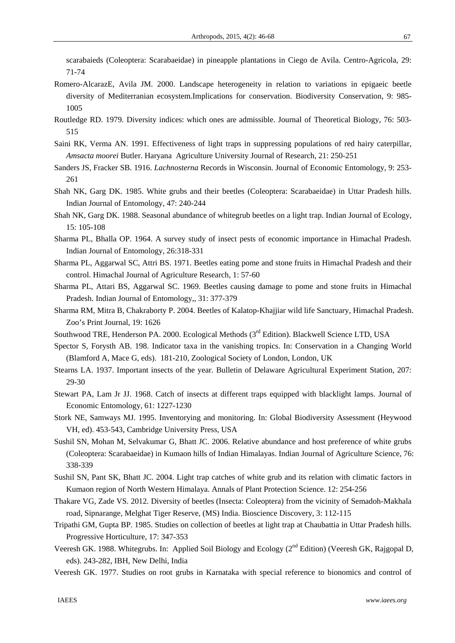scarabaieds (Coleoptera: Scarabaeidae) in pineapple plantations in Ciego de Avila. Centro-Agricola, 29: 71-74

- Romero-AlcarazE, Avila JM. 2000. Landscape heterogeneity in relation to variations in epigaeic beetle diversity of Mediterranian ecosystem.Implications for conservation. Biodiversity Conservation, 9: 985- 1005
- Routledge RD. 1979. Diversity indices: which ones are admissible. Journal of Theoretical Biology, 76: 503- 515
- Saini RK, Verma AN. 1991. Effectiveness of light traps in suppressing populations of red hairy caterpillar, *Amsacta moorei* Butler. Haryana Agriculture University Journal of Research, 21: 250-251
- Sanders JS, Fracker SB. 1916. *Lachnosterna* Records in Wisconsin. Journal of Economic Entomology, 9: 253- 261
- Shah NK, Garg DK. 1985. White grubs and their beetles (Coleoptera: Scarabaeidae) in Uttar Pradesh hills. Indian Journal of Entomology, 47: 240-244
- Shah NK, Garg DK. 1988. Seasonal abundance of whitegrub beetles on a light trap. Indian Journal of Ecology, 15: 105-108
- Sharma PL, Bhalla OP. 1964. A survey study of insect pests of economic importance in Himachal Pradesh. Indian Journal of Entomology, 26:318-331
- Sharma PL, Aggarwal SC, Attri BS. 1971. Beetles eating pome and stone fruits in Himachal Pradesh and their control. Himachal Journal of Agriculture Research, 1: 57-60
- Sharma PL, Attari BS, Aggarwal SC. 1969. Beetles causing damage to pome and stone fruits in Himachal Pradesh. Indian Journal of Entomology,, 31: 377-379
- Sharma RM, Mitra B, Chakraborty P. 2004. Beetles of Kalatop-Khajjiar wild life Sanctuary, Himachal Pradesh. Zoo's Print Journal, 19: 1626
- Southwood TRE, Henderson PA. 2000. Ecological Methods (3<sup>rd</sup> Edition). Blackwell Science LTD, USA
- Spector S, Forysth AB. 198. Indicator taxa in the vanishing tropics. In: Conservation in a Changing World (Blamford A, Mace G, eds). 181-210, Zoological Society of London, London, UK
- Stearns LA. 1937. Important insects of the year. Bulletin of Delaware Agricultural Experiment Station, 207: 29-30
- Stewart PA, Lam Jr JJ. 1968. Catch of insects at different traps equipped with blacklight lamps. Journal of Economic Entomology, 61: 1227-1230
- Stork NE, Samways MJ. 1995. Inventorying and monitoring. In: Global Biodiversity Assessment (Heywood VH, ed). 453-543, Cambridge University Press, USA
- Sushil SN, Mohan M, Selvakumar G, Bhatt JC. 2006. Relative abundance and host preference of white grubs (Coleoptera: Scarabaeidae) in Kumaon hills of Indian Himalayas. Indian Journal of Agriculture Science, 76: 338-339
- Sushil SN, Pant SK, Bhatt JC. 2004. Light trap catches of white grub and its relation with climatic factors in Kumaon region of North Western Himalaya. Annals of Plant Protection Science. 12: 254-256
- Thakare VG, Zade VS. 2012. Diversity of beetles (Insecta: Coleoptera) from the vicinity of Semadoh-Makhala road, Sipnarange, Melghat Tiger Reserve, (MS) India. Bioscience Discovery, 3: 112-115
- Tripathi GM, Gupta BP. 1985. Studies on collection of beetles at light trap at Chaubattia in Uttar Pradesh hills. Progressive Horticulture, 17: 347-353
- Veeresh GK. 1988. Whitegrubs. In: Applied Soil Biology and Ecology (2<sup>nd</sup> Edition) (Veeresh GK, Rajgopal D, eds). 243-282, IBH, New Delhi, India
- Veeresh GK. 1977. Studies on root grubs in Karnataka with special reference to bionomics and control of